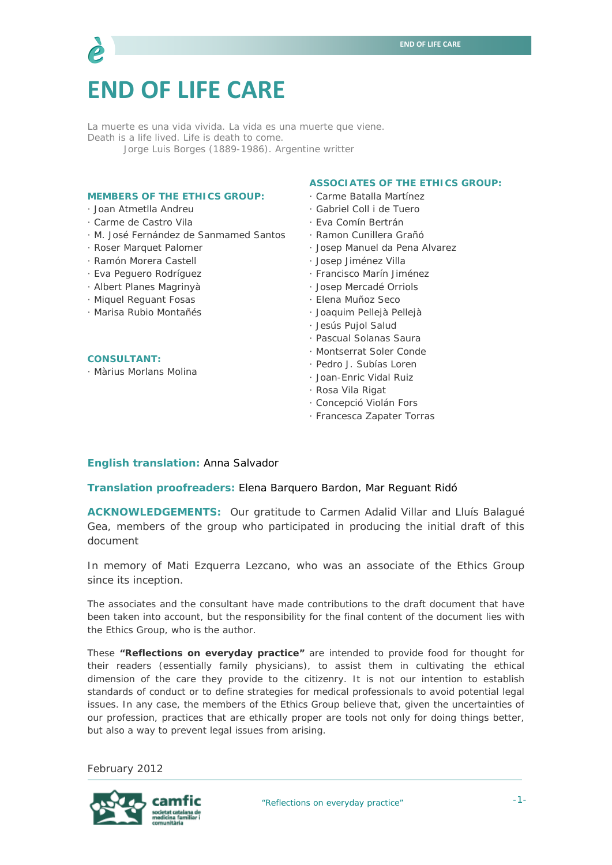# **END OF LIFE CARE**

La muerte es una vida vivida. La vida es una muerte que viene. *Death is a life lived. Life is death to come*. Jorge Luis Borges (1889-1986). Argentine writter

#### **MEMBERS OF THE ETHICS GROUP:**  · Joan Atmetlla Andreu · Carme de Castro Vila · M. José Fernández de Sanmamed Santos · Roser Marquet Palomer · Ramón Morera Castell · Eva Peguero Rodríguez · Albert Planes Magrinyà · Miquel Reguant Fosas · Marisa Rubio Montañés **CONSULTANT:**  · Màrius Morlans Molina **ASSOCIATES OF THE ETHICS GROUP:**  · Carme Batalla Martínez · Gabriel Coll i de Tuero · Eva Comín Bertrán · Ramon Cunillera Grañó · Josep Manuel da Pena Alvarez · Josep Jiménez Villa · Francisco Marín Jiménez · Josep Mercadé Orriols · Elena Muñoz Seco · Joaquim Pellejà Pellejà · Jesús Pujol Salud · Pascual Solanas Saura · Montserrat Soler Conde · Pedro J. Subías Loren · Joan-Enric Vidal Ruiz · Rosa Vila Rigat · Concepció Violán Fors

· Francesca Zapater Torras

#### **English translation:** Anna Salvador

**Translation proofreaders:** Elena Barquero Bardon, Mar Reguant Ridó

**ACKNOWLEDGEMENTS:** Our gratitude to Carmen Adalid Villar and Lluís Balagué Gea, members of the group who participated in producing the initial draft of this document

In memory of Mati Ezquerra Lezcano, who was an associate of the Ethics Group *since its inception.*

The associates and the consultant have made contributions to the draft document that have been taken into account, but the responsibility for the final content of the document lies with the Ethics Group, who is the author.

These **"Reflections on everyday practice"** are intended to provide food for thought for their readers (essentially family physicians), to assist them in cultivating the ethical dimension of the care they provide to the citizenry. It is not our intention to establish standards of conduct or to define strategies for medical professionals to avoid potential legal issues. In any case, the members of the Ethics Group believe that, given the uncertainties of our profession, practices that are ethically proper are tools not only for doing things better, but also a way to prevent legal issues from arising.

February 2012

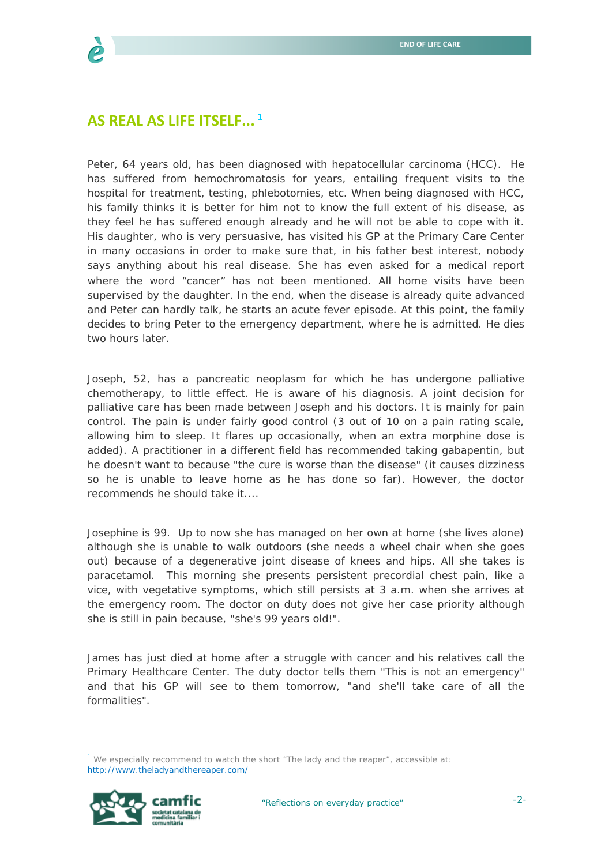## **AS REAL AS LIFE ITSELF... <sup>1</sup>**

Peter, 64 years old, has been diagnosed with hepatocellular carcinoma (HCC). He has suffered from hemochromatosis for years, entailing frequent visits to the hospital for treatment, testing, phlebotomies, etc. When being diagnosed with HCC, his family thinks it is better for him not to know the full extent of his disease, as they feel he has suffered enough already and he will not be able to cope with it. His daughter, who is very persuasive, has visited his GP at the Primary Care Center in many occasions in order to make sure that, in his father best interest, nobody says anything about his real disease. She has even asked for a medical report where the word "cancer" has not been mentioned. All home visits have been supervised by the daughter. In the end, when the disease is already quite advanced and Peter can hardly talk, he starts an acute fever episode. At this point, the family decides to bring Peter to the emergency department, where he is admitted. He dies two hours later.

Joseph, 52, has a pancreatic neoplasm for which he has undergone palliative chemotherapy, to little effect. He is aware of his diagnosis. A joint decision for palliative care has been made between Joseph and his doctors. It is mainly for pain control. The pain is under fairly good control (3 out of 10 on a pain rating scale, allowing him to sleep. It flares up occasionally, when an extra morphine dose is added). A practitioner in a different field has recommended taking gabapentin, but he doesn't want to because "the cure is worse than the disease" (it causes dizziness so he is unable to leave home as he has done so far). However, the doctor recommends he should take it....

Josephine is 99. Up to now she has managed on her own at home (she lives alone) although she is unable to walk outdoors (she needs a wheel chair when she goes out) because of a degenerative joint disease of knees and hips. All she takes is paracetamol. This morning she presents persistent precordial chest pain, like a vice, with vegetative symptoms, which still persists at 3 a.m. when she arrives at the emergency room. The doctor on duty does not give her case priority although she is still in pain because, "she's 99 years old!".

James has just died at home after a struggle with cancer and his relatives call the Primary Healthcare Center. The duty doctor tells them "This is not an emergency" and that his GP will see to them tomorrow, "and she'll take care of all the formalities".

<sup>&</sup>lt;sup>1</sup> We especially recommend to watch the short "The lady and the reaper", accessible at: http://www.theladyandthereaper.com/

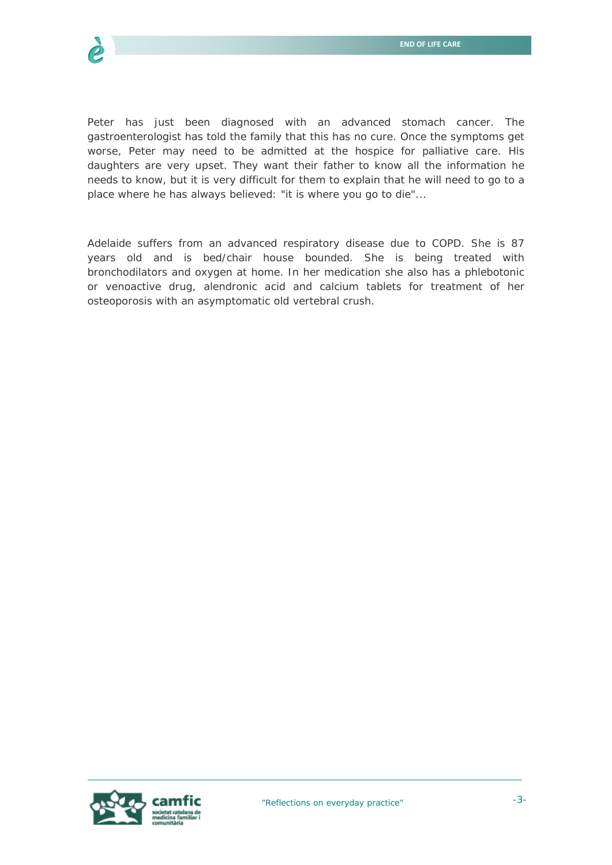

Peter has just been diagnosed with an advanced stomach cancer. The gastroenterologist has told the family that this has no cure. Once the symptoms get worse, Peter may need to be admitted at the hospice for palliative care. His daughters are very upset. They want their father to know all the information he needs to know, but it is very difficult for them to explain that he will need to go to a place where he has always believed: "it is where you go to die"...

Adelaide suffers from an advanced respiratory disease due to COPD. She is 87 years old and is bed/chair house bounded. She is being treated with bronchodilators and oxygen at home. In her medication she also has a phlebotonic or venoactive drug, alendronic acid and calcium tablets for treatment of her osteoporosis with an asymptomatic old vertebral crush.

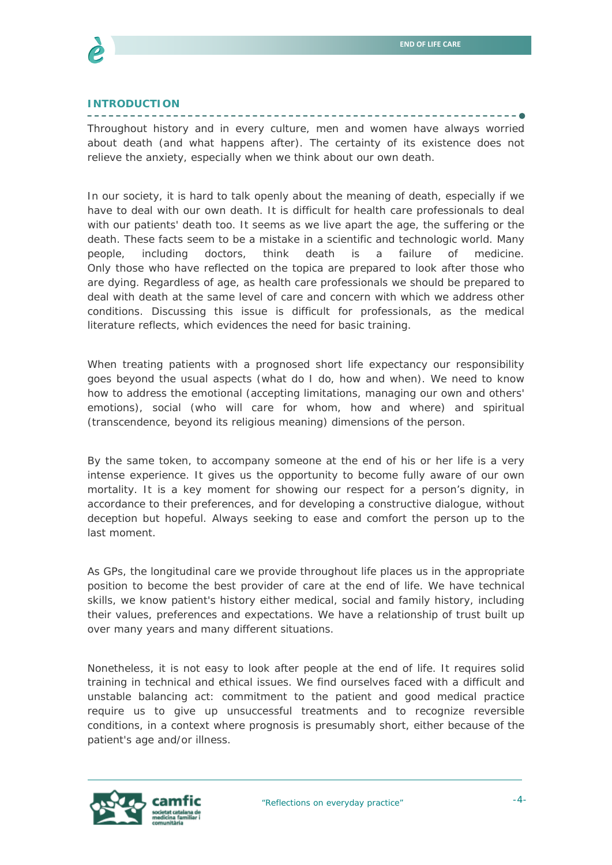

#### **INTRODUCTION**

Throughout history and in every culture, men and women have always worried about death (and what happens after). The certainty of its existence does not relieve the anxiety, especially when we think about our own death.

In our society, it is hard to talk openly about the meaning of death, especially if we have to deal with our own death. It is difficult for health care professionals to deal with our patients' death too. It seems as we live apart the age, the suffering or the death. These facts seem to be a mistake in a scientific and technologic world. Many people, including doctors, think death is a failure of medicine. Only those who have reflected on the topica are prepared to look after those who are dying. Regardless of age, as health care professionals we should be prepared to deal with death at the same level of care and concern with which we address other conditions. Discussing this issue is difficult for professionals, as the medical literature reflects, which evidences the need for basic training.

When treating patients with a prognosed short life expectancy our responsibility goes beyond the usual aspects (what do I do, how and when). We need to know how to address the emotional (accepting limitations, managing our own and others' emotions), social (who will care for whom, how and where) and spiritual (transcendence, beyond its religious meaning) dimensions of the person.

By the same token, to accompany someone at the end of his or her life is a very intense experience. It gives us the opportunity to become fully aware of our own mortality. It is a key moment for showing our respect for a person's dignity, in accordance to their preferences, and for developing a constructive dialogue, without deception but hopeful. Always seeking to ease and comfort the person up to the last moment.

As GPs, the longitudinal care we provide throughout life places us in the appropriate position to become the best provider of care at the end of life. We have technical skills, we know patient's history either medical, social and family history, including their values, preferences and expectations. We have a relationship of trust built up over many years and many different situations.

Nonetheless, it is not easy to look after people at the end of life. It requires solid training in technical and ethical issues. We find ourselves faced with a difficult and unstable balancing act: commitment to the patient and good medical practice require us to give up unsuccessful treatments and to recognize reversible conditions, in a context where prognosis is presumably short, either because of the patient's age and/or illness.

![](_page_3_Picture_9.jpeg)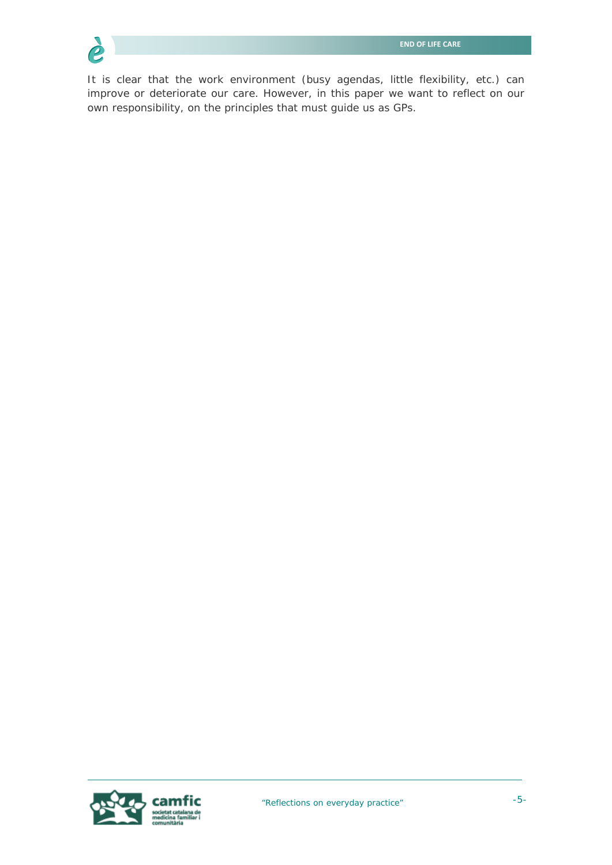![](_page_4_Picture_1.jpeg)

It is clear that the work environment (busy agendas, little flexibility, etc.) can improve or deteriorate our care. However, in this paper we want to reflect on our own responsibility, on the principles that must guide us as GPs.

![](_page_4_Picture_3.jpeg)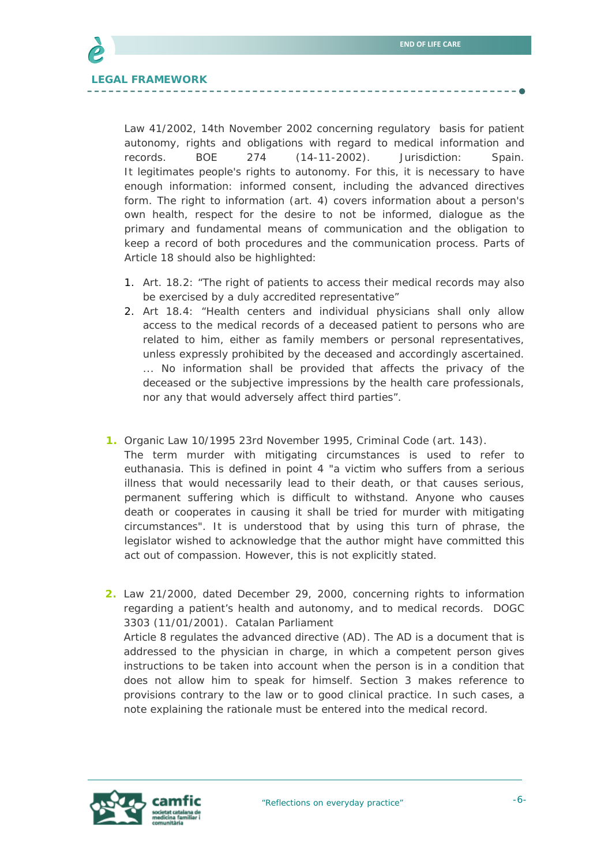*Law 41/2002, 14th November 2002 concerning regulatory basis for patient autonomy, rights and obligations with regard to medical information and records. BOE 274 (14-11-2002). Jurisdiction: Spain.* It legitimates people's rights to autonomy. For this, it is necessary to have enough information: informed consent, including the advanced directives form. The right to information (art. 4) covers information about a person's own health, respect for the desire to not be informed, dialogue as the primary and fundamental means of communication and the obligation to keep a record of both procedures and the communication process. Parts of Article 18 should also be highlighted:

- 1. Art. 18.2: "The right of patients to access their medical records may also be exercised by a duly accredited representative"
- 2. Art 18.4: "Health centers and individual physicians shall only allow access to the medical records of a deceased patient to persons who are related to him, either as family members or personal representatives, unless expressly prohibited by the deceased and accordingly ascertained. ... No information shall be provided that affects the privacy of the deceased or the subjective impressions by the health care professionals, nor any that would adversely affect third parties".
- *1. Organic Law 10/1995 23rd November 1995, Criminal Code (art. 143).*

The term murder with mitigating circumstances is used to refer to euthanasia. This is defined in point 4 "a victim who suffers from a serious illness that would necessarily lead to their death, or that causes serious, permanent suffering which is difficult to withstand. Anyone who causes death or cooperates in causing it shall be tried for murder with mitigating circumstances". It is understood that by using this turn of phrase, the legislator wished to acknowledge that the author might have committed this act out of compassion. However, this is not explicitly stated.

**2.** *Law 21/2000, dated December 29, 2000, concerning rights to information regarding a patient's health and autonomy, and to medical records. DOGC 3303 (11/01/2001). Catalan Parliament*

Article 8 regulates the advanced directive (AD). The AD is a document that is addressed to the physician in charge, in which a competent person gives instructions to be taken into account when the person is in a condition that does not allow him to speak for himself. Section 3 makes reference to provisions contrary to the law or to good clinical practice. In such cases, a note explaining the rationale must be entered into the medical record.

![](_page_5_Picture_9.jpeg)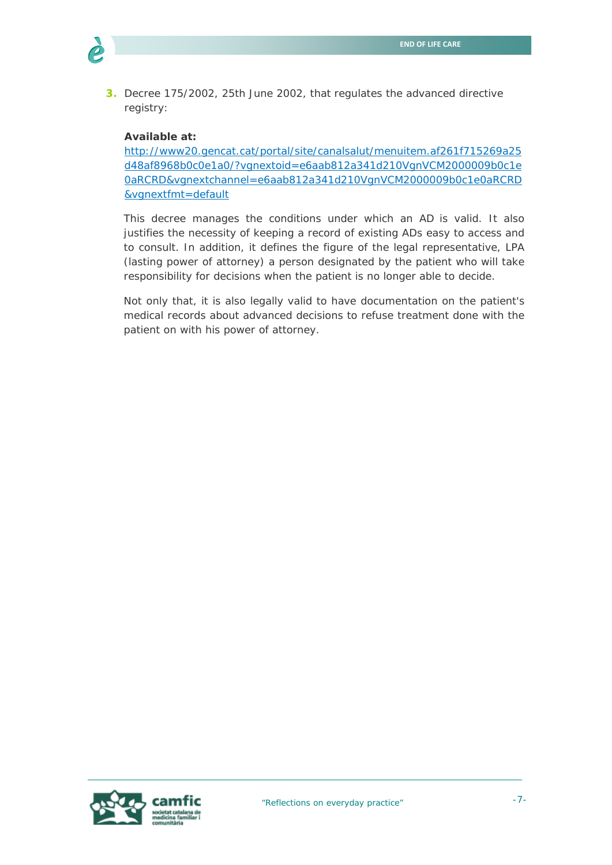![](_page_6_Picture_1.jpeg)

*3. Decree 175/2002, 25th June 2002, that regulates the advanced directive registry:* 

#### **Available at:**

http://www20.gencat.cat/portal/site/canalsalut/menuitem.af261f715269a25 d48af8968b0c0e1a0/?vgnextoid=e6aab812a341d210VgnVCM2000009b0c1e 0aRCRD&vgnextchannel=e6aab812a341d210VgnVCM2000009b0c1e0aRCRD &vgnextfmt=default

This decree manages the conditions under which an AD is valid. It also justifies the necessity of keeping a record of existing ADs easy to access and to consult. In addition, it defines the figure of the legal representative, LPA (lasting power of attorney) a person designated by the patient who will take responsibility for decisions when the patient is no longer able to decide.

Not only that, it is also legally valid to have documentation on the patient's medical records about advanced decisions to refuse treatment done with the patient on with his power of attorney.

![](_page_6_Picture_7.jpeg)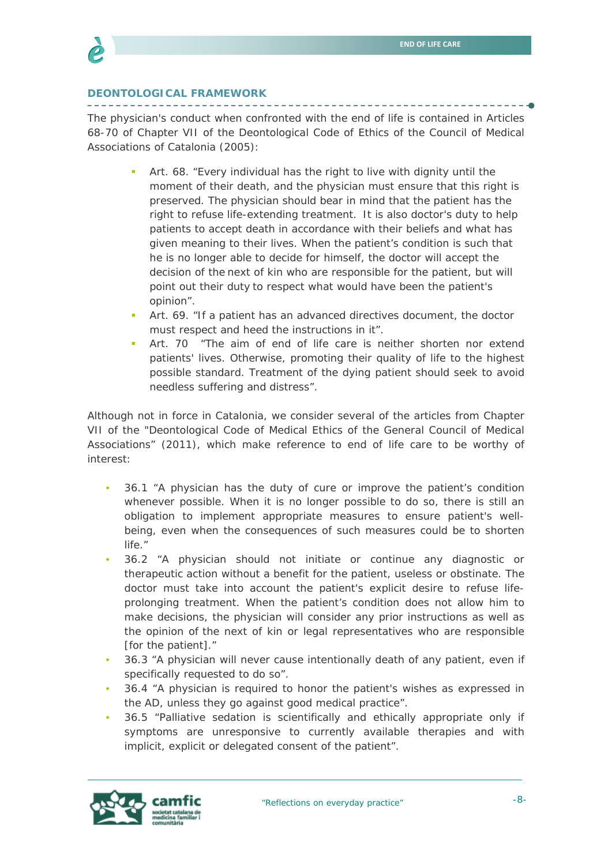#### **DEONTOLOGICAL FRAMEWORK**

The physician's conduct when confronted with the end of life is contained in Articles 68-70 of Chapter VII of the Deontological Code of Ethics of the Council of Medical Associations of Catalonia (2005):

- Art. 68. "Every individual has the right to live with dignity until the moment of their death, and the physician must ensure that this right is preserved. The physician should bear in mind that the patient has the right to refuse life-extending treatment. It is also doctor's duty to help patients to accept death in accordance with their beliefs and what has given meaning to their lives. When the patient's condition is such that he is no longer able to decide for himself, the doctor will accept the decision of the next of kin who are responsible for the patient, but will point out their duty to respect what would have been the patient's opinion".
- Art. 69. "If a patient has an advanced directives document, the doctor must respect and heed the instructions in it".
- Art. 70 "The aim of end of life care is neither shorten nor extend patients' lives. Otherwise, promoting their quality of life to the highest possible standard. Treatment of the dying patient should seek to avoid needless suffering and distress".

Although not in force in Catalonia, we consider several of the articles from Chapter VII of the "Deontological Code of Medical Ethics of the General Council of Medical Associations" (2011), which make reference to end of life care to be worthy of interest:

- 36.1 "A physician has the duty of cure or improve the patient's condition whenever possible. When it is no longer possible to do so, there is still an obligation to implement appropriate measures to ensure patient's wellbeing, even when the consequences of such measures could be to shorten life."
- 36.2 "A physician should not initiate or continue any diagnostic or therapeutic action without a benefit for the patient, useless or obstinate. The doctor must take into account the patient's explicit desire to refuse lifeprolonging treatment. When the patient's condition does not allow him to make decisions, the physician will consider any prior instructions as well as the opinion of the next of kin or legal representatives who are responsible [for the patient]."
- 36.3 "A physician will never cause intentionally death of any patient, even if specifically requested to do so".
- 36.4 "A physician is required to honor the patient's wishes as expressed in the AD, unless they go against good medical practice".
- 36.5 "Palliative sedation is scientifically and ethically appropriate only if symptoms are unresponsive to currently available therapies and with implicit, explicit or delegated consent of the patient".

![](_page_7_Picture_13.jpeg)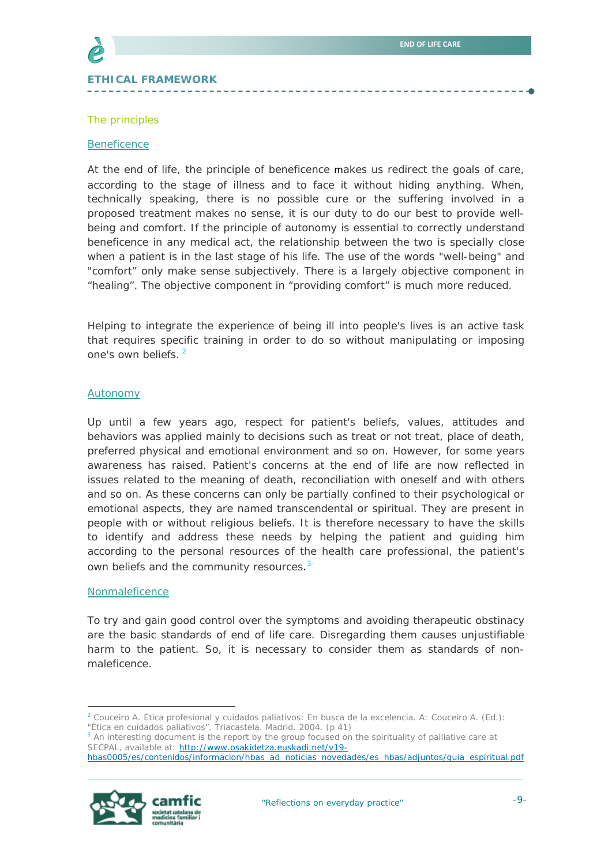![](_page_8_Picture_1.jpeg)

#### The principles

#### **Beneficence**

At the end of life, the principle of beneficence makes us redirect the goals of care, according to the stage of illness and to face it without hiding anything. When, technically speaking, there is no possible cure or the suffering involved in a proposed treatment makes no sense, it is our duty to do our best to provide wellbeing and comfort. If the principle of autonomy is essential to correctly understand beneficence in any medical act, the relationship between the two is specially close when a patient is in the last stage of his life. The use of the words "well-being" and "comfort" only make sense subjectively. There is a largely objective component in "healing". The objective component in "providing comfort" is much more reduced.

Helping to integrate the experience of being ill into people's lives is an active task that requires specific training in order to do so without manipulating or imposing one's own beliefs.<sup>2</sup>

#### **Autonomy**

Up until a few years ago, respect for patient's beliefs, values, attitudes and behaviors was applied mainly to decisions such as treat or not treat, place of death, preferred physical and emotional environment and so on. However, for some years awareness has raised. Patient's concerns at the end of life are now reflected in issues related to the meaning of death, reconciliation with oneself and with others and so on. As these concerns can only be partially confined to their psychological or emotional aspects, they are named transcendental or spiritual. They are present in people with or without religious beliefs. It is therefore necessary to have the skills to identify and address these needs by helping the patient and guiding him according to the personal resources of the health care professional, the patient's own beliefs and the community resources.<sup>3</sup>

#### Nonmaleficence

To try and gain good control over the symptoms and avoiding therapeutic obstinacy are the basic standards of end of life care. Disregarding them causes unjustifiable harm to the patient. So, it is necessary to consider them as standards of nonmaleficence.

hbas0005/es/contenidos/informacion/hbas\_ad\_noticias\_novedades/es\_hbas/adjuntos/guia\_espiritual.pdf

![](_page_8_Picture_13.jpeg)

<sup>2</sup> Couceiro A. Ética profesional y cuidados paliativos: En busca de la excelencia. A: Couceiro A. (Ed.): "Ética en cuidados paliativos". Triacastela. Madrid. 2004. (p 41)

<sup>&</sup>lt;sup>3</sup> An interesting document is the report by the group focused on the spirituality of palliative care at SECPAL, available at: http://www.osakidetza.euskadi.net/v19-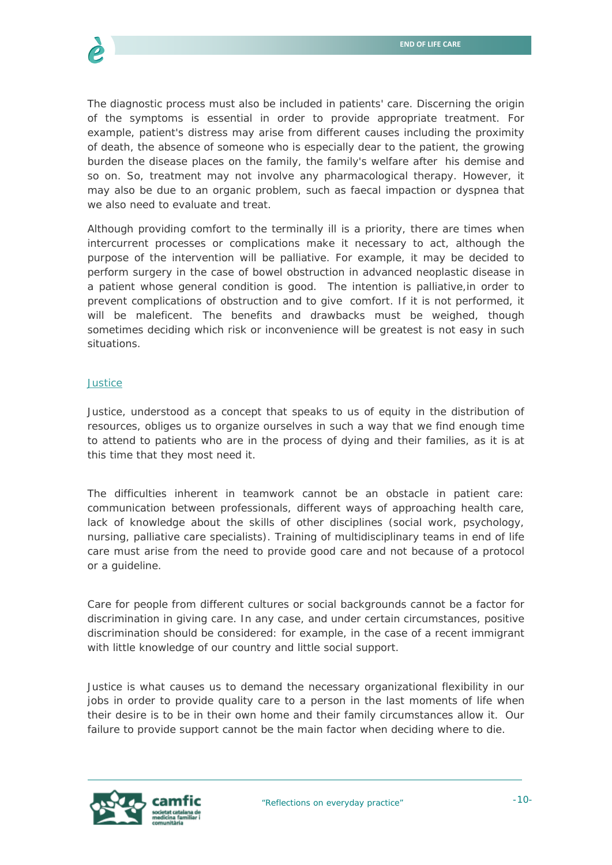![](_page_9_Picture_1.jpeg)

The diagnostic process must also be included in patients' care. Discerning the origin of the symptoms is essential in order to provide appropriate treatment. For example, patient's distress may arise from different causes including the proximity of death, the absence of someone who is especially dear to the patient, the growing burden the disease places on the family, the family's welfare after his demise and so on. So, treatment may not involve any pharmacological therapy. However, it may also be due to an organic problem, such as faecal impaction or dyspnea that we also need to evaluate and treat.

Although providing comfort to the terminally ill is a priority, there are times when intercurrent processes or complications make it necessary to act, although the purpose of the intervention will be palliative. For example, it may be decided to perform surgery in the case of bowel obstruction in advanced neoplastic disease in a patient whose general condition is good. The intention is palliative,in order to prevent complications of obstruction and to give comfort. If it is not performed, it will be maleficent. The benefits and drawbacks must be weighed, though sometimes deciding which risk or inconvenience will be greatest is not easy in such situations.

#### **Justice**

Justice, understood as a concept that speaks to us of equity in the distribution of resources, obliges us to organize ourselves in such a way that we find enough time to attend to patients who are in the process of dying and their families, as it is at this time that they most need it.

The difficulties inherent in teamwork cannot be an obstacle in patient care: communication between professionals, different ways of approaching health care, lack of knowledge about the skills of other disciplines (social work, psychology, nursing, palliative care specialists). Training of multidisciplinary teams in end of life care must arise from the need to provide good care and not because of a protocol or a guideline.

Care for people from different cultures or social backgrounds cannot be a factor for discrimination in giving care. In any case, and under certain circumstances, positive discrimination should be considered: for example, in the case of a recent immigrant with little knowledge of our country and little social support.

Justice is what causes us to demand the necessary organizational flexibility in our jobs in order to provide quality care to a person in the last moments of life when their desire is to be in their own home and their family circumstances allow it. Our failure to provide support cannot be the main factor when deciding where to die.

![](_page_9_Picture_9.jpeg)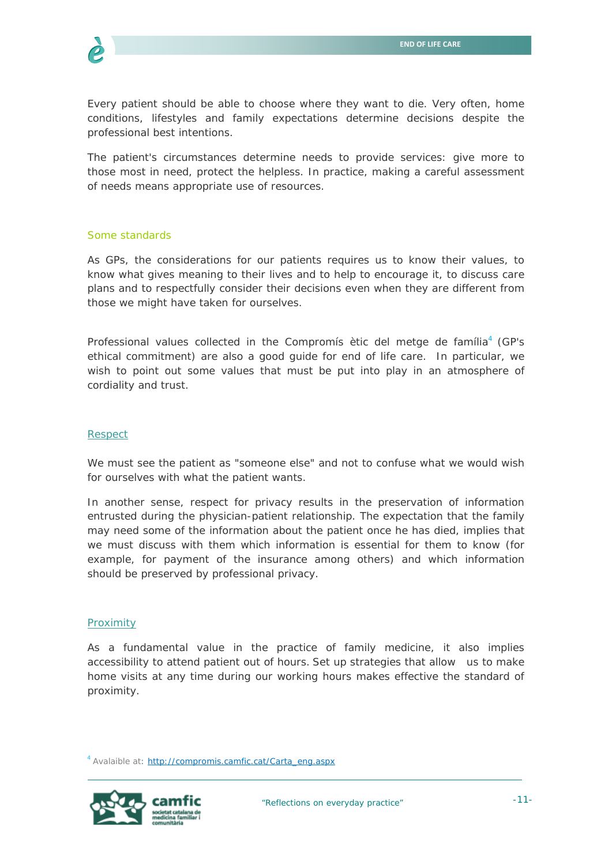![](_page_10_Picture_1.jpeg)

Every patient should be able to choose where they want to die. Very often, home conditions, lifestyles and family expectations determine decisions despite the professional best intentions.

The patient's circumstances determine needs to provide services: give more to those most in need, protect the helpless. In practice, making a careful assessment of needs means appropriate use of resources.

#### Some standards

As GPs, the considerations for our patients requires us to know their values, to know what gives meaning to their lives and to help to encourage it, to discuss care plans and to respectfully consider their decisions even when they are different from those we might have taken for ourselves.

Professional values collected in the *Compromís ètic del metge de família*<sup>4</sup> (GP's ethical commitment) are also a good guide for end of life care. In particular, we wish to point out some values that must be put into play in an atmosphere of cordiality and trust.

#### Respect

We must see the patient as "someone else" and not to confuse what we would wish for ourselves with what the patient wants.

In another sense, respect for privacy results in the preservation of information entrusted during the physician-patient relationship. The expectation that the family may need some of the information about the patient once he has died, implies that we must discuss with them which information is essential for them to know (for example, for payment of the insurance among others) and which information should be preserved by professional privacy.

#### **Proximity**

As a fundamental value in the practice of family medicine, it also implies accessibility to attend patient out of hours. Set up strategies that allow us to make home visits at any time during our working hours makes effective the standard of proximity.

<sup>&</sup>lt;sup>4</sup> Avalaible at: http://compromis.camfic.cat/Carta\_eng.aspx

![](_page_10_Picture_13.jpeg)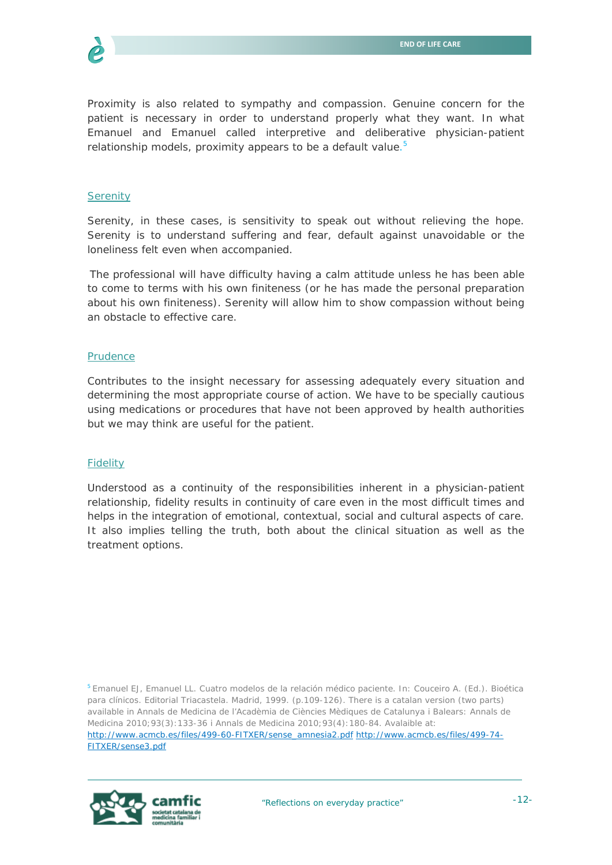![](_page_11_Picture_1.jpeg)

Proximity is also related to sympathy and compassion. Genuine concern for the patient is necessary in order to understand properly what they want. In what Emanuel and Emanuel called interpretive and deliberative physician-patient relationship models, proximity appears to be a default value.<sup>5</sup>

#### **Serenity**

Serenity, in these cases, is sensitivity to speak out without relieving the hope. Serenity is to understand suffering and fear, default against unavoidable or the loneliness felt even when accompanied.

The professional will have difficulty having a calm attitude unless he has been able to come to terms with his own finiteness (or he has made the personal preparation about his own finiteness). Serenity will allow him to show compassion without being an obstacle to effective care.

#### Prudence

Contributes to the insight necessary for assessing adequately every situation and determining the most appropriate course of action. We have to be specially cautious using medications or procedures that have not been approved by health authorities but we may think are useful for the patient.

#### **Fidelity**

Understood as a continuity of the responsibilities inherent in a physician-patient relationship, fidelity results in continuity of care even in the most difficult times and helps in the integration of emotional, contextual, social and cultural aspects of care. It also implies telling the truth, both about the clinical situation as well as the treatment options.

5 Emanuel EJ, Emanuel LL. Cuatro modelos de la relación médico paciente. In: Couceiro A. (Ed.). Bioética para clínicos. Editorial Triacastela. Madrid, 1999. (p.109-126). There is a catalan version (two parts) available in Annals de Medicina de l'Acadèmia de Ciències Mèdiques de Catalunya i Balears: Annals de Medicina 2010;93(3):133-36 i Annals de Medicina 2010;93(4):180-84. Avalaible at: http://www.acmcb.es/files/499-60-FITXER/sense\_amnesia2.pdf http://www.acmcb.es/files/499-74- FITXER/sense3.pdf

![](_page_11_Picture_11.jpeg)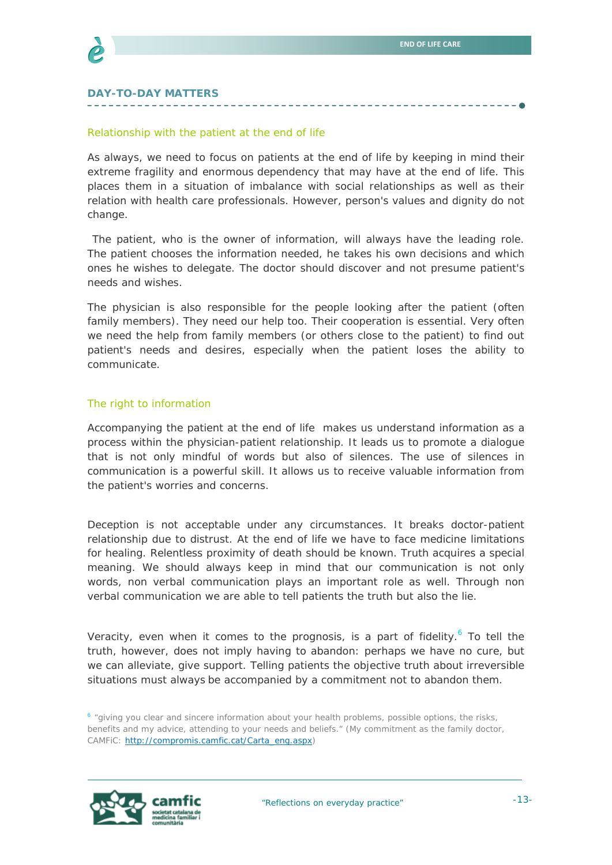. . . . . . . . . . . **.** 

![](_page_12_Picture_1.jpeg)

#### **DAY-TO-DAY MATTERS**

#### Relationship with the patient at the end of life

As always, we need to focus on patients at the end of life by keeping in mind their extreme fragility and enormous dependency that may have at the end of life. This places them in a situation of imbalance with social relationships as well as their relation with health care professionals. However, person's values and dignity do not change.

The patient, who is the owner of information, will always have the leading role. The patient chooses the information needed, he takes his own decisions and which ones he wishes to delegate. The doctor should discover and not presume patient's needs and wishes.

The physician is also responsible for the people looking after the patient (often family members). They need our help too. Their cooperation is essential. Very often we need the help from family members (or others close to the patient) to find out patient's needs and desires, especially when the patient loses the ability to communicate.

#### The right to information

Accompanying the patient at the end of life makes us understand information as a process within the physician-patient relationship. It leads us to promote a dialogue that is not only mindful of words but also of silences. The use of silences in communication is a powerful skill. It allows us to receive valuable information from the patient's worries and concerns.

Deception is not acceptable under any circumstances. It breaks doctor-patient relationship due to distrust. At the end of life we have to face medicine limitations for healing. Relentless proximity of death should be known. Truth acquires a special meaning. We should always keep in mind that our communication is not only words, non verbal communication plays an important role as well. Through non verbal communication we are able to tell patients the truth but also the lie.

Veracity, even when it comes to the prognosis, is a part of fidelity.<sup>6</sup> To tell the truth, however, does not imply having to abandon: perhaps we have no cure, but we can alleviate, give support. Telling patients the objective truth about irreversible situations must always be accompanied by a commitment not to abandon them.

 $6$  "giving you clear and sincere information about your health problems, possible options, the risks, benefits and my advice, attending to your needs and beliefs." (My commitment as the family doctor, CAMFiC: http://compromis.camfic.cat/Carta\_eng.aspx)

![](_page_12_Picture_12.jpeg)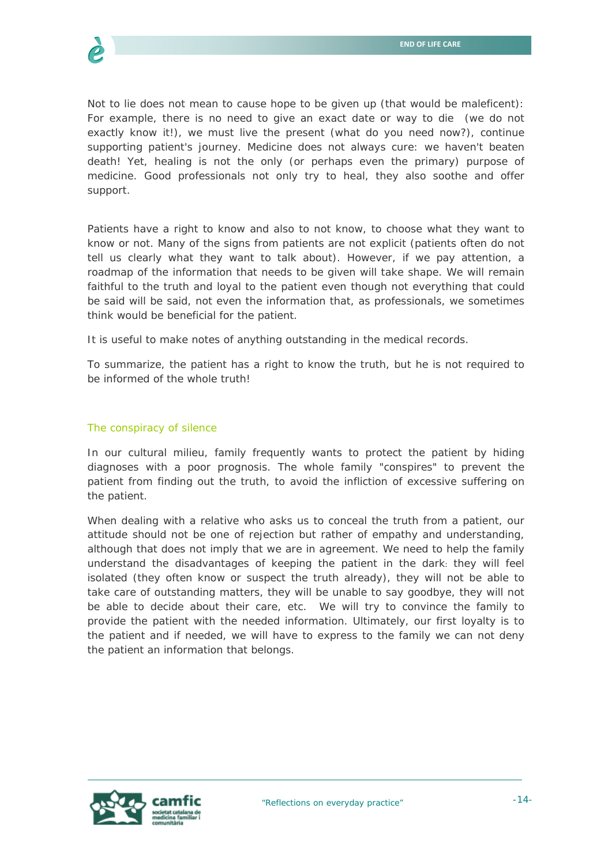![](_page_13_Picture_1.jpeg)

Not to lie does not mean to cause hope to be given up (that would be maleficent): For example, there is no need to give an exact date or way to die (we do not exactly know it!), we must live the present (what do you need now?), continue supporting patient's journey. Medicine does not always cure: we haven't beaten death! Yet, healing is not the only (or perhaps even the primary) purpose of medicine. Good professionals not only try to heal, they also soothe and offer support.

Patients have a right to know and also to not know, to choose what they want to know or not. Many of the signs from patients are not explicit (patients often do not tell us clearly what they want to talk about). However, if we pay attention, a roadmap of the information that needs to be given will take shape. We will remain faithful to the truth and loyal to the patient even though not everything that could be said will be said, not even the information that, as professionals, we sometimes think would be beneficial for the patient.

It is useful to make notes of anything outstanding in the medical records.

To summarize, the patient has a right to know the truth, but he is not required to be informed of the whole truth!

#### The conspiracy of silence

In our cultural milieu, family frequently wants to protect the patient by hiding diagnoses with a poor prognosis. The whole family "conspires" to prevent the patient from finding out the truth, to avoid the infliction of excessive suffering on the patient.

When dealing with a relative who asks us to conceal the truth from a patient, our attitude should not be one of rejection but rather of empathy and understanding, although that does not imply that we are in agreement. We need to help the family understand the disadvantages of keeping the patient in the dark: they will feel isolated (they often know or suspect the truth already), they will not be able to take care of outstanding matters, they will be unable to say goodbye, they will not be able to decide about their care, etc. We will try to convince the family to provide the patient with the needed information. Ultimately, our first loyalty is to the patient and if needed, we will have to express to the family we can not deny the patient an information that belongs.

![](_page_13_Picture_9.jpeg)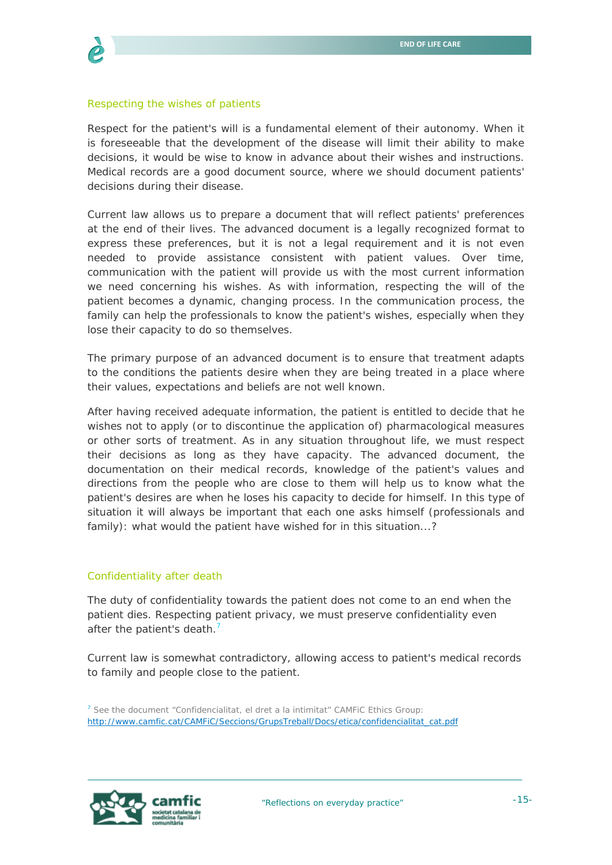![](_page_14_Picture_1.jpeg)

#### Respecting the wishes of patients

Respect for the patient's will is a fundamental element of their autonomy. When it is foreseeable that the development of the disease will limit their ability to make decisions, it would be wise to know in advance about their wishes and instructions. Medical records are a good document source, where we should document patients' decisions during their disease.

Current law allows us to prepare a document that will reflect patients' preferences at the end of their lives. The advanced document is a legally recognized format to express these preferences, but it is not a legal requirement and it is not even needed to provide assistance consistent with patient values. Over time, communication with the patient will provide us with the most current information we need concerning his wishes. As with information, respecting the will of the patient becomes a dynamic, changing process. In the communication process, the family can help the professionals to know the patient's wishes, especially when they lose their capacity to do so themselves.

The primary purpose of an advanced document is to ensure that treatment adapts to the conditions the patients desire when they are being treated in a place where their values, expectations and beliefs are not well known.

After having received adequate information, the patient is entitled to decide that he wishes not to apply (or to discontinue the application of) pharmacological measures or other sorts of treatment. As in any situation throughout life, we must respect their decisions as long as they have capacity. The advanced document, the documentation on their medical records, knowledge of the patient's values and directions from the people who are close to them will help us to know what the patient's desires are when he loses his capacity to decide for himself. In this type of situation it will always be important that each one asks himself (professionals and family): what would the patient have wished for in this situation...?

#### Confidentiality after death

The duty of confidentiality towards the patient does not come to an end when the patient dies. Respecting patient privacy, we must preserve confidentiality even after the patient's death.<sup>7</sup>

Current law is somewhat contradictory, allowing access to patient's medical records to family and people close to the patient.

 $<sup>7</sup>$  See the document "Confidencialitat, el dret a la intimitat" CAMFiC Ethics Group:</sup> http://www.camfic.cat/CAMFiC/Seccions/GrupsTreball/Docs/etica/confidencialitat\_cat.pdf

![](_page_14_Picture_11.jpeg)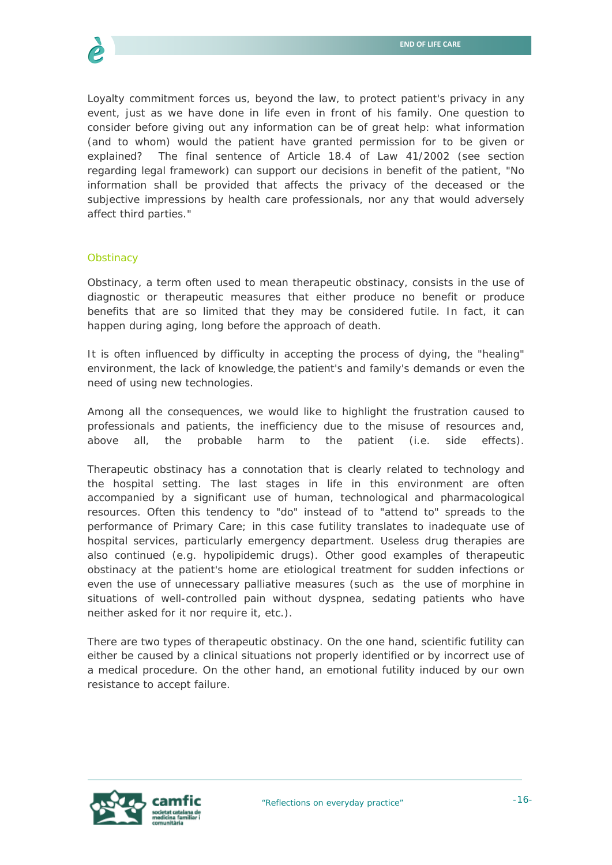![](_page_15_Picture_1.jpeg)

Loyalty commitment forces us, beyond the law, to protect patient's privacy in any event, just as we have done in life even in front of his family. One question to consider before giving out any information can be of great help: what information (and to whom) would the patient have granted permission for to be given or explained? The final sentence of Article 18.4 of Law 41/2002 (see section regarding legal framework) can support our decisions in benefit of the patient, "No information shall be provided that affects the privacy of the deceased or the subjective impressions by health care professionals, nor any that would adversely affect third parties."

#### **Obstinacy**

Obstinacy, a term often used to mean therapeutic obstinacy, consists in the use of diagnostic or therapeutic measures that either produce no benefit or produce benefits that are so limited that they may be considered futile. In fact, it can happen during aging, long before the approach of death.

It is often influenced by difficulty in accepting the process of dying, the "healing" environment, the lack of knowledge, the patient's and family's demands or even the need of using new technologies.

Among all the consequences, we would like to highlight the frustration caused to professionals and patients, the inefficiency due to the misuse of resources and, above all, the probable harm to the patient (i.e. side effects).

Therapeutic obstinacy has a connotation that is clearly related to technology and the hospital setting. The last stages in life in this environment are often accompanied by a significant use of human, technological and pharmacological resources. Often this tendency to "do" instead of to "attend to" spreads to the performance of Primary Care; in this case futility translates to inadequate use of hospital services, particularly emergency department. Useless drug therapies are also continued (e.g. hypolipidemic drugs). Other good examples of therapeutic obstinacy at the patient's home are etiological treatment for sudden infections or even the use of unnecessary palliative measures (such as the use of morphine in situations of well-controlled pain without dyspnea, sedating patients who have neither asked for it nor require it, etc.).

There are two types of therapeutic obstinacy. On the one hand, scientific futility can either be caused by a clinical situations not properly identified or by incorrect use of a medical procedure. On the other hand, an emotional futility induced by our own resistance to accept failure.

![](_page_15_Picture_9.jpeg)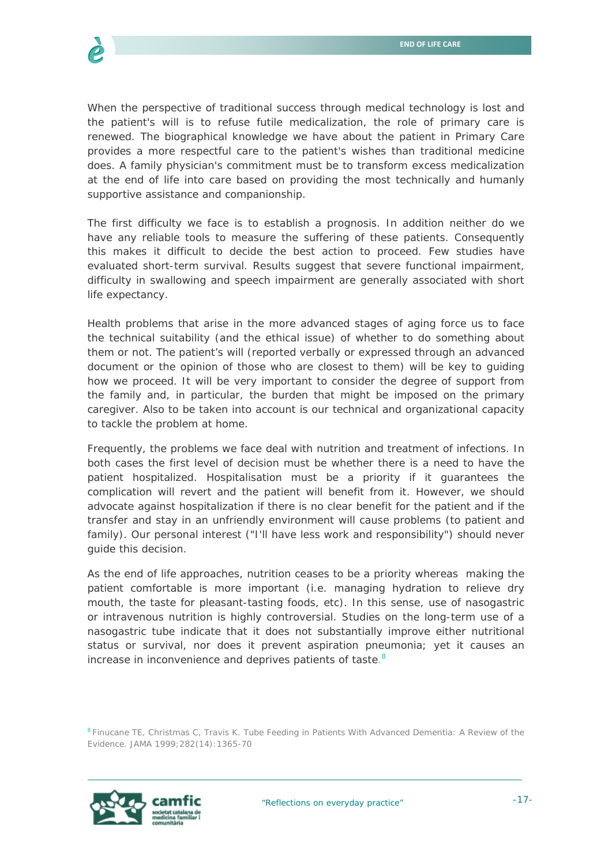![](_page_16_Picture_1.jpeg)

When the perspective of traditional success through medical technology is lost and the patient's will is to refuse futile medicalization, the role of primary care is renewed. The biographical knowledge we have about the patient in Primary Care provides a more respectful care to the patient's wishes than traditional medicine does. A family physician's commitment must be to transform excess medicalization at the end of life into care based on providing the most technically and humanly supportive assistance and companionship.

The first difficulty we face is to establish a prognosis. In addition neither do we have any reliable tools to measure the suffering of these patients. Consequently this makes it difficult to decide the best action to proceed. Few studies have evaluated short-term survival. Results suggest that severe functional impairment, difficulty in swallowing and speech impairment are generally associated with short life expectancy.

Health problems that arise in the more advanced stages of aging force us to face the technical suitability (and the ethical issue) of whether to do something about them or not. The patient's will (reported verbally or expressed through an advanced document or the opinion of those who are closest to them) will be key to guiding how we proceed. It will be very important to consider the degree of support from the family and, in particular, the burden that might be imposed on the primary caregiver. Also to be taken into account is our technical and organizational capacity to tackle the problem at home.

Frequently, the problems we face deal with nutrition and treatment of infections. In both cases the first level of decision must be whether there is a need to have the patient hospitalized. Hospitalisation must be a priority if it guarantees the complication will revert and the patient will benefit from it. However, we should advocate against hospitalization if there is no clear benefit for the patient and if the transfer and stay in an unfriendly environment will cause problems (to patient and family). Our personal interest ("I'll have less work and responsibility") should never guide this decision.

As the end of life approaches, nutrition ceases to be a priority whereas making the patient comfortable is more important (i.e. managing hydration to relieve dry mouth, the taste for pleasant-tasting foods, etc). In this sense, use of nasogastric or intravenous nutrition is highly controversial. Studies on the long-term use of a nasogastric tube indicate that it does not substantially improve either nutritional status or survival, nor does it prevent aspiration pneumonia; yet it causes an increase in inconvenience and deprives patients of taste.<sup>8</sup>

8 Finucane TE, Christmas C, Travis K. Tube Feeding in Patients With Advanced Dementia: A Review of the Evidence. JAMA 1999;282(14):1365-70

![](_page_16_Picture_8.jpeg)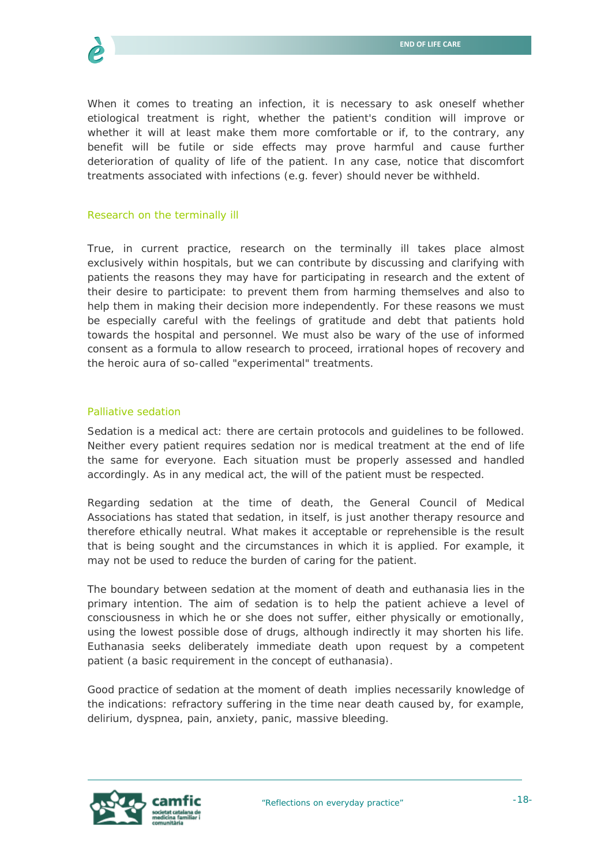![](_page_17_Picture_1.jpeg)

When it comes to treating an infection, it is necessary to ask oneself whether etiological treatment is right, whether the patient's condition will improve or whether it will at least make them more comfortable or if, to the contrary, any benefit will be futile or side effects may prove harmful and cause further deterioration of quality of life of the patient. In any case, notice that discomfort treatments associated with infections (e.g. fever) should never be withheld.

#### Research on the terminally ill

True, in current practice, research on the terminally ill takes place almost exclusively within hospitals, but we can contribute by discussing and clarifying with patients the reasons they may have for participating in research and the extent of their desire to participate: to prevent them from harming themselves and also to help them in making their decision more independently. For these reasons we must be especially careful with the feelings of gratitude and debt that patients hold towards the hospital and personnel. We must also be wary of the use of informed consent as a formula to allow research to proceed, irrational hopes of recovery and the heroic aura of so-called "experimental" treatments.

#### Palliative sedation

Sedation is a medical act: there are certain protocols and guidelines to be followed. Neither every patient requires sedation nor is medical treatment at the end of life the same for everyone. Each situation must be properly assessed and handled accordingly. As in any medical act, the will of the patient must be respected.

Regarding sedation at the time of death, the General Council of Medical Associations has stated that sedation, in itself, is just another therapy resource and therefore ethically neutral. What makes it acceptable or reprehensible is the result that is being sought and the circumstances in which it is applied. For example, it may not be used to reduce the burden of caring for the patient.

The boundary between sedation at the moment of death and euthanasia lies in the primary intention. The aim of sedation is to help the patient achieve a level of consciousness in which he or she does not suffer, either physically or emotionally, using the lowest possible dose of drugs, although indirectly it may shorten his life. Euthanasia seeks deliberately immediate death upon request by a competent patient (a basic requirement in the concept of euthanasia).

Good practice of sedation at the moment of death implies necessarily knowledge of the indications: refractory suffering in the time near death caused by, for example, delirium, dyspnea, pain, anxiety, panic, massive bleeding.

![](_page_17_Picture_10.jpeg)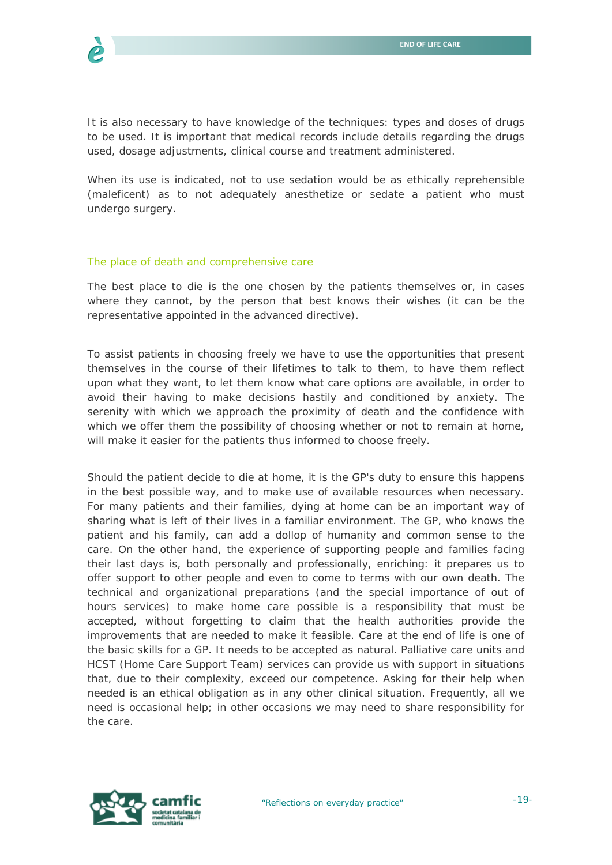![](_page_18_Picture_1.jpeg)

It is also necessary to have knowledge of the techniques: types and doses of drugs to be used. It is important that medical records include details regarding the drugs used, dosage adjustments, clinical course and treatment administered.

When its use is indicated, not to use sedation would be as ethically reprehensible (maleficent) as to not adequately anesthetize or sedate a patient who must undergo surgery.

#### The place of death and comprehensive care

The best place to die is the one chosen by the patients themselves or, in cases where they cannot, by the person that best knows their wishes (it can be the representative appointed in the advanced directive).

To assist patients in choosing freely we have to use the opportunities that present themselves in the course of their lifetimes to talk to them, to have them reflect upon what they want, to let them know what care options are available, in order to avoid their having to make decisions hastily and conditioned by anxiety. The serenity with which we approach the proximity of death and the confidence with which we offer them the possibility of choosing whether or not to remain at home, will make it easier for the patients thus informed to choose freely.

Should the patient decide to die at home, it is the GP's duty to ensure this happens in the best possible way, and to make use of available resources when necessary. For many patients and their families, dying at home can be an important way of sharing what is left of their lives in a familiar environment. The GP, who knows the patient and his family, can add a dollop of humanity and common sense to the care. On the other hand, the experience of supporting people and families facing their last days is, both personally and professionally, enriching: it prepares us to offer support to other people and even to come to terms with our own death. The technical and organizational preparations (and the special importance of out of hours services) to make home care possible is a responsibility that must be accepted, without forgetting to claim that the health authorities provide the improvements that are needed to make it feasible. Care at the end of life is one of the basic skills for a GP. It needs to be accepted as natural. Palliative care units and HCST (Home Care Support Team) services can provide us with support in situations that, due to their complexity, exceed our competence. Asking for their help when needed is an ethical obligation as in any other clinical situation. Frequently, all we need is occasional help; in other occasions we may need to share responsibility for the care.

![](_page_18_Picture_8.jpeg)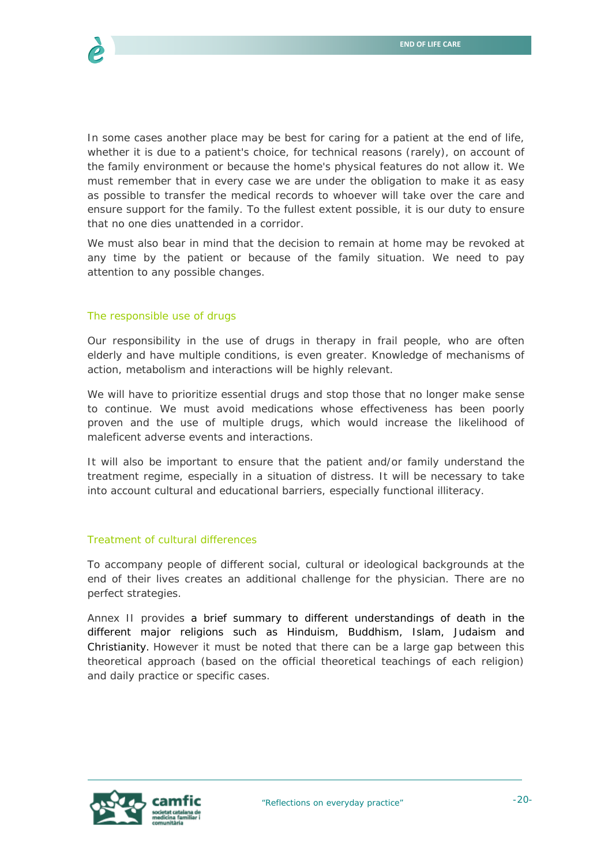![](_page_19_Picture_1.jpeg)

In some cases another place may be best for caring for a patient at the end of life, whether it is due to a patient's choice, for technical reasons (rarely), on account of the family environment or because the home's physical features do not allow it. We must remember that in every case we are under the obligation to make it as easy as possible to transfer the medical records to whoever will take over the care and ensure support for the family. To the fullest extent possible, it is our duty to ensure that no one dies unattended in a corridor.

We must also bear in mind that the decision to remain at home may be revoked at any time by the patient or because of the family situation. We need to pay attention to any possible changes.

#### The responsible use of drugs

Our responsibility in the use of drugs in therapy in frail people, who are often elderly and have multiple conditions, is even greater. Knowledge of mechanisms of action, metabolism and interactions will be highly relevant.

We will have to prioritize essential drugs and stop those that no longer make sense to continue. We must avoid medications whose effectiveness has been poorly proven and the use of multiple drugs, which would increase the likelihood of maleficent adverse events and interactions.

It will also be important to ensure that the patient and/or family understand the treatment regime, especially in a situation of distress. It will be necessary to take into account cultural and educational barriers, especially functional illiteracy.

#### Treatment of cultural differences

To accompany people of different social, cultural or ideological backgrounds at the end of their lives creates an additional challenge for the physician. There are no perfect strategies.

Annex II provides a brief summary to different understandings of death in the different major religions such as Hinduism, Buddhism, Islam, Judaism and Christianity. However it must be noted that there can be a large gap between this theoretical approach (based on the official theoretical teachings of each religion) and daily practice or specific cases.

![](_page_19_Picture_11.jpeg)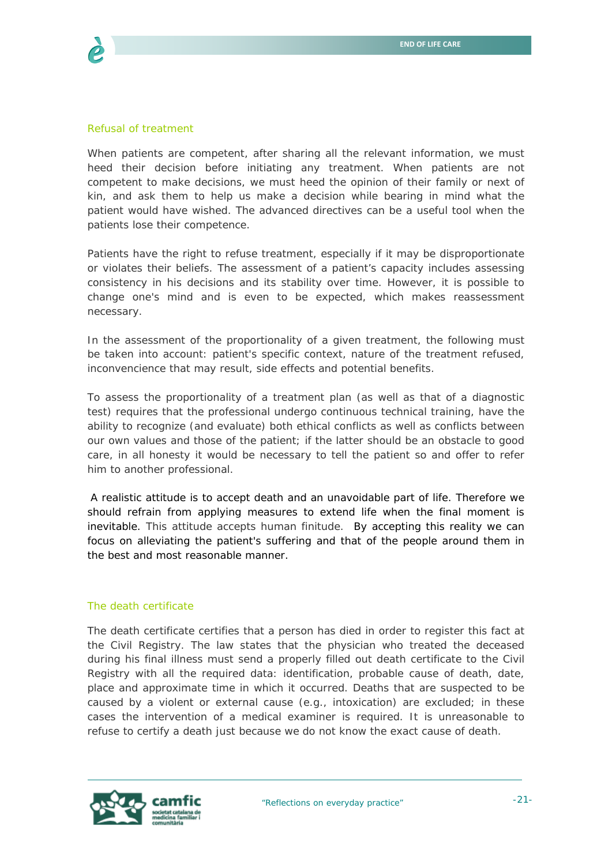![](_page_20_Picture_1.jpeg)

#### Refusal of treatment

When patients are competent, after sharing all the relevant information, we must heed their decision before initiating any treatment. When patients are not competent to make decisions, we must heed the opinion of their family or next of kin, and ask them to help us make a decision while bearing in mind what the patient would have wished. The advanced directives can be a useful tool when the patients lose their competence.

Patients have the right to refuse treatment, especially if it may be disproportionate or violates their beliefs. The assessment of a patient's capacity includes assessing consistency in his decisions and its stability over time. However, it is possible to change one's mind and is even to be expected, which makes reassessment necessary.

In the assessment of the proportionality of a given treatment, the following must be taken into account: patient's specific context, nature of the treatment refused, inconvencience that may result, side effects and potential benefits.

To assess the proportionality of a treatment plan (as well as that of a diagnostic test) requires that the professional undergo continuous technical training, have the ability to recognize (and evaluate) both ethical conflicts as well as conflicts between our own values and those of the patient; if the latter should be an obstacle to good care, in all honesty it would be necessary to tell the patient so and offer to refer him to another professional.

A realistic attitude is to accept death and an unavoidable part of life. Therefore we should refrain from applying measures to extend life when the final moment is inevitable. This attitude accepts human finitude. By accepting this reality we can focus on alleviating the patient's suffering and that of the people around them in the best and most reasonable manner.

#### The death certificate

The death certificate certifies that a person has died in order to register this fact at the Civil Registry. The law states that the physician who treated the deceased during his final illness must send a properly filled out death certificate to the Civil Registry with all the required data: identification, probable cause of death, date, place and approximate time in which it occurred. Deaths that are suspected to be caused by a violent or external cause (e.g., intoxication) are excluded; in these cases the intervention of a medical examiner is required. It is unreasonable to refuse to certify a death just because we do not know the exact cause of death.

![](_page_20_Picture_10.jpeg)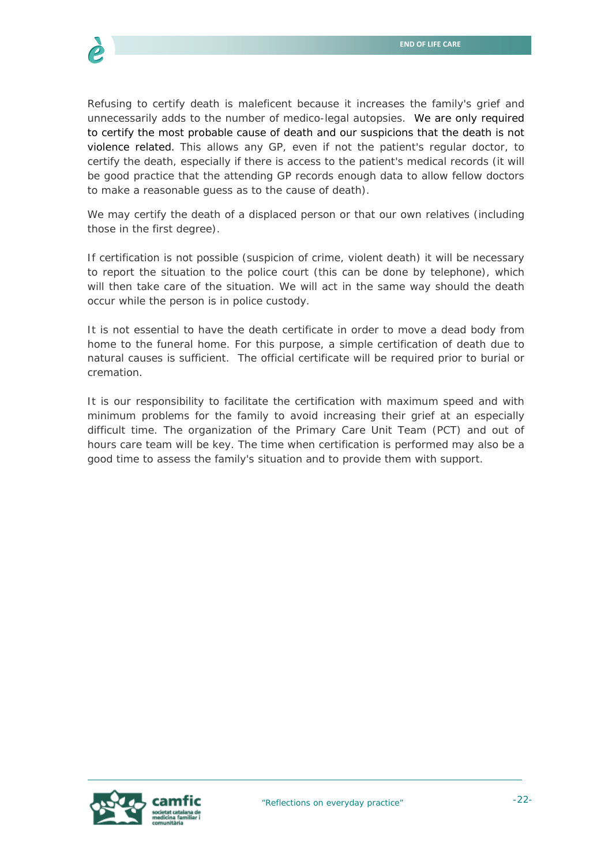![](_page_21_Picture_1.jpeg)

Refusing to certify death is maleficent because it increases the family's grief and unnecessarily adds to the number of medico-legal autopsies. We are only required to certify the most probable cause of death and our suspicions that the death is not violence related. This allows any GP, even if not the patient's regular doctor, to certify the death, especially if there is access to the patient's medical records (it will be good practice that the attending GP records enough data to allow fellow doctors to make a reasonable guess as to the cause of death).

We may certify the death of a displaced person or that our own relatives (including those in the first degree).

If certification is not possible (suspicion of crime, violent death) it will be necessary to report the situation to the police court (this can be done by telephone), which will then take care of the situation. We will act in the same way should the death occur while the person is in police custody.

It is not essential to have the death certificate in order to move a dead body from home to the funeral home. For this purpose, a simple certification of death due to natural causes is sufficient. The official certificate will be required prior to burial or cremation.

It is our responsibility to facilitate the certification with maximum speed and with minimum problems for the family to avoid increasing their grief at an especially difficult time. The organization of the Primary Care Unit Team (PCT) and out of hours care team will be key. The time when certification is performed may also be a good time to assess the family's situation and to provide them with support.

![](_page_21_Picture_7.jpeg)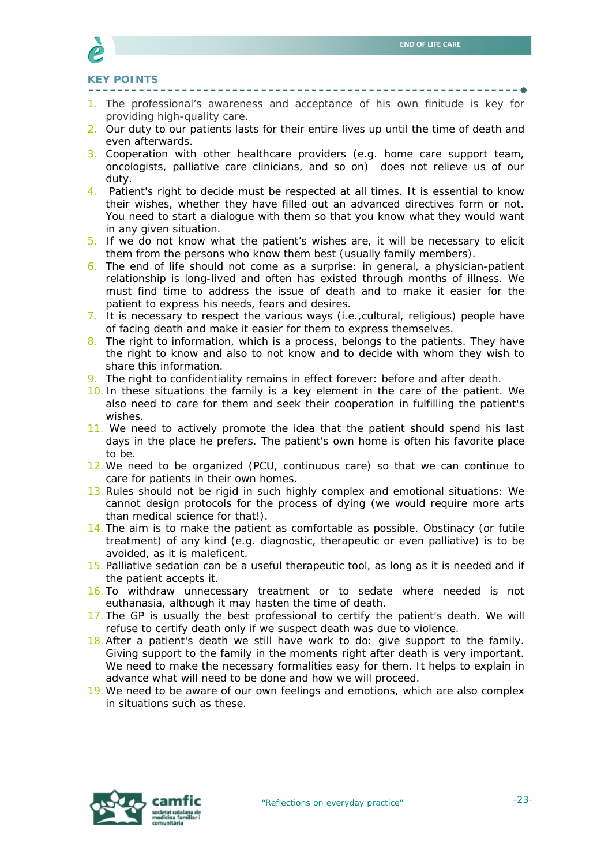![](_page_22_Picture_1.jpeg)

#### **KEY POINTS**

- 1. The professional's awareness and acceptance of his own finitude is key for providing high-quality care.
- 2. Our duty to our patients lasts for their entire lives up until the time of death and even afterwards.
- 3. Cooperation with other healthcare providers (e.g. home care support team, oncologists, palliative care clinicians, and so on) does not relieve us of our duty.
- 4. Patient's right to decide must be respected at all times. It is essential to know their wishes, whether they have filled out an advanced directives form or not. You need to start a dialogue with them so that you know what they would want in any given situation.
- 5. If we do not know what the patient's wishes are, it will be necessary to elicit them from the persons who know them best (usually family members).
- 6. The end of life should not come as a surprise: in general, a physician-patient relationship is long-lived and often has existed through months of illness. We must find time to address the issue of death and to make it easier for the patient to express his needs, fears and desires.
- 7. It is necessary to respect the various ways (i.e.,cultural, religious) people have of facing death and make it easier for them to express themselves.
- 8. The right to information, which is a process, belongs to the patients. They have the right to know and also to not know and to decide with whom they wish to share this information.
- 9. The right to confidentiality remains in effect forever: before and after death.
- 10. In these situations the family is a key element in the care of the patient. We also need to care for them and seek their cooperation in fulfilling the patient's wishes.
- 11. We need to actively promote the idea that the patient should spend his last days in the place he prefers. The patient's own home is often his favorite place to be.
- 12.We need to be organized (PCU, continuous care) so that we can continue to care for patients in their own homes.
- 13.Rules should not be rigid in such highly complex and emotional situations: We cannot design protocols for the process of dying (we would require more arts than medical science for that!).
- 14.The aim is to make the patient as comfortable as possible. Obstinacy (or futile treatment) of any kind (e.g. diagnostic, therapeutic or even palliative) is to be avoided, as it is maleficent.
- 15. Palliative sedation can be a useful therapeutic tool, as long as it is needed and if the patient accepts it.
- 16.To withdraw unnecessary treatment or to sedate where needed is not euthanasia, although it may hasten the time of death.
- 17.The GP is usually the best professional to certify the patient's death. We will refuse to certify death only if we suspect death was due to violence.
- 18.After a patient's death we still have work to do: give support to the family. Giving support to the family in the moments right after death is very important. We need to make the necessary formalities easy for them. It helps to explain in advance what will need to be done and how we will proceed.
- 19.We need to be aware of our own feelings and emotions, which are also complex in situations such as these.

![](_page_22_Picture_23.jpeg)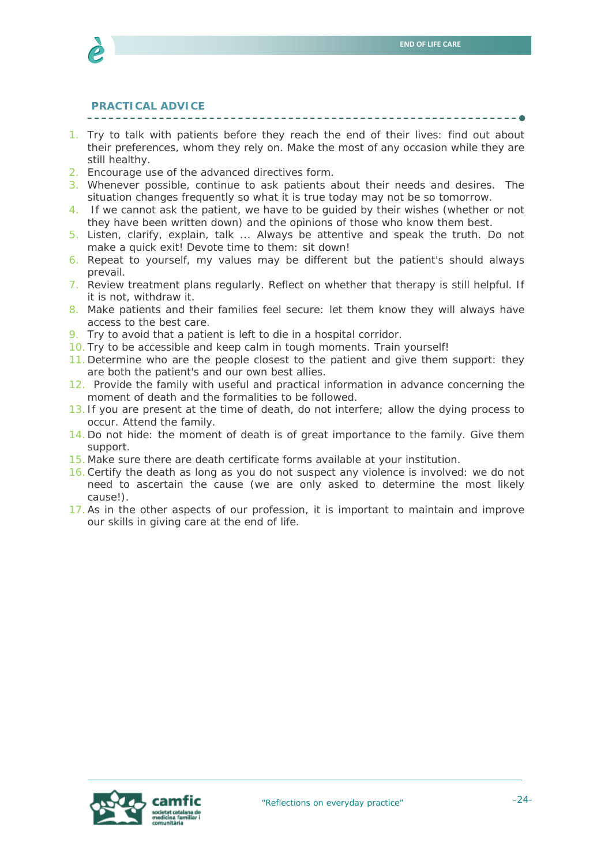![](_page_23_Picture_1.jpeg)

#### **PRACTICAL ADVICE**

- 1. Try to talk with patients before they reach the end of their lives: find out about their preferences, whom they rely on. Make the most of any occasion while they are still healthy.
- 2. Encourage use of the advanced directives form.
- 3. Whenever possible, continue to ask patients about their needs and desires. The situation changes frequently so what it is true today may not be so tomorrow.
- 4. If we cannot ask the patient, we have to be guided by their wishes (whether or not they have been written down) and the opinions of those who know them best.
- 5. Listen, clarify, explain, talk ... Always be attentive and speak the truth. Do not make a quick exit! Devote time to them: sit down!
- 6. Repeat to yourself, my values may be different but the patient's should always prevail.
- 7. Review treatment plans regularly. Reflect on whether that therapy is still helpful. If it is not, withdraw it.
- 8. Make patients and their families feel secure: let them know they will always have access to the best care.
- 9. Try to avoid that a patient is left to die in a hospital corridor.
- 10. Try to be accessible and keep calm in tough moments. Train yourself!
- 11. Determine who are the people closest to the patient and give them support: they are both the patient's and our own best allies.
- 12. Provide the family with useful and practical information in advance concerning the moment of death and the formalities to be followed.
- 13. If you are present at the time of death, do not interfere; allow the dying process to occur. Attend the family.
- 14. Do not hide: the moment of death is of great importance to the family. Give them support.
- 15. Make sure there are death certificate forms available at your institution.
- 16.Certify the death as long as you do not suspect any violence is involved: we do not need to ascertain the cause (we are only asked to determine the most likely cause!).
- 17.As in the other aspects of our profession, it is important to maintain and improve our skills in giving care at the end of life.

![](_page_23_Picture_20.jpeg)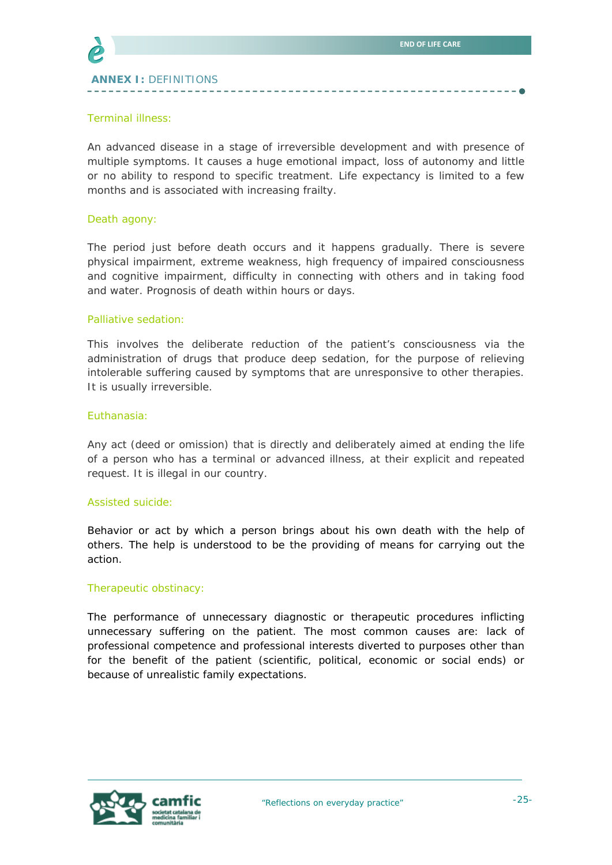![](_page_24_Picture_1.jpeg)

#### Terminal illness:

An advanced disease in a stage of irreversible development and with presence of multiple symptoms. It causes a huge emotional impact, loss of autonomy and little or no ability to respond to specific treatment. Life expectancy is limited to a few months and is associated with increasing frailty.

#### Death agony:

The period just before death occurs and it happens gradually. There is severe physical impairment, extreme weakness, high frequency of impaired consciousness and cognitive impairment, difficulty in connecting with others and in taking food and water. Prognosis of death within hours or days.

#### Palliative sedation:

This involves the deliberate reduction of the patient's consciousness via the administration of drugs that produce deep sedation, for the purpose of relieving intolerable suffering caused by symptoms that are unresponsive to other therapies. It is usually irreversible.

#### Euthanasia:

Any act (deed or omission) that is directly and deliberately aimed at ending the life of a person who has a terminal or advanced illness, at their explicit and repeated request. It is illegal in our country.

#### Assisted suicide:

Behavior or act by which a person brings about his own death with the help of others. The help is understood to be the providing of means for carrying out the action.

#### Therapeutic obstinacy:

The performance of unnecessary diagnostic or therapeutic procedures inflicting unnecessary suffering on the patient. The most common causes are: lack of professional competence and professional interests diverted to purposes other than for the benefit of the patient (scientific, political, economic or social ends) or because of unrealistic family expectations.

![](_page_24_Picture_14.jpeg)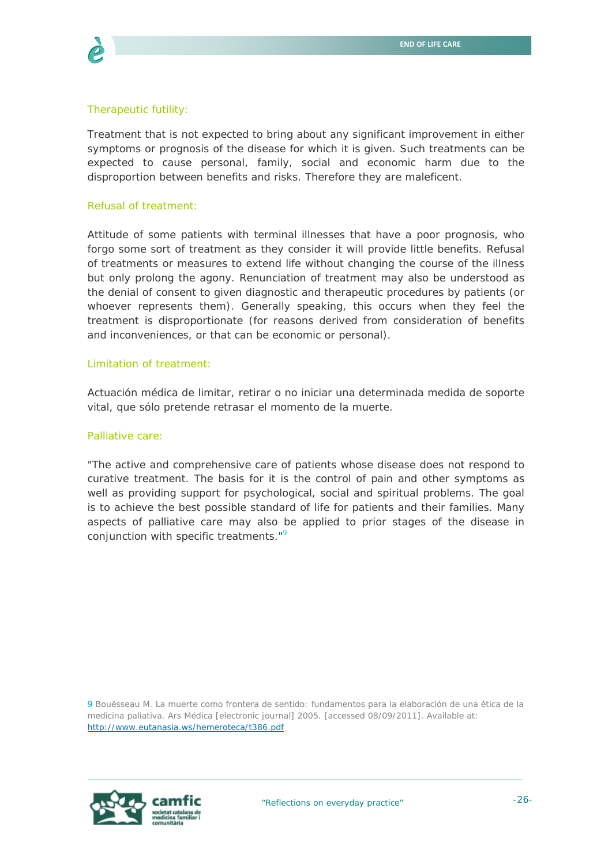![](_page_25_Picture_1.jpeg)

#### Therapeutic futility:

Treatment that is not expected to bring about any significant improvement in either symptoms or prognosis of the disease for which it is given. Such treatments can be expected to cause personal, family, social and economic harm due to the disproportion between benefits and risks. Therefore they are maleficent.

#### Refusal of treatment:

Attitude of some patients with terminal illnesses that have a poor prognosis, who forgo some sort of treatment as they consider it will provide little benefits. Refusal of treatments or measures to extend life without changing the course of the illness but only prolong the agony. Renunciation of treatment may also be understood as the denial of consent to given diagnostic and therapeutic procedures by patients (or whoever represents them). Generally speaking, this occurs when they feel the treatment is disproportionate (for reasons derived from consideration of benefits and inconveniences, or that can be economic or personal).

#### Limitation of treatment:

Actuación médica de limitar, retirar o no iniciar una determinada medida de soporte vital, que sólo pretende retrasar el momento de la muerte.

#### Palliative care:

"The active and comprehensive care of patients whose disease does not respond to curative treatment. The basis for it is the control of pain and other symptoms as well as providing support for psychological, social and spiritual problems. The goal is to achieve the best possible standard of life for patients and their families. Many aspects of palliative care may also be applied to prior stages of the disease in conjunction with specific treatments."9

9 Bouësseau M. La muerte como frontera de sentido: fundamentos para la elaboración de una ética de la medicina paliativa. Ars Médica [electronic journal] 2005. [accessed 08/09/2011]. Available at: http://www.eutanasia.ws/hemeroteca/t386.pdf

![](_page_25_Picture_11.jpeg)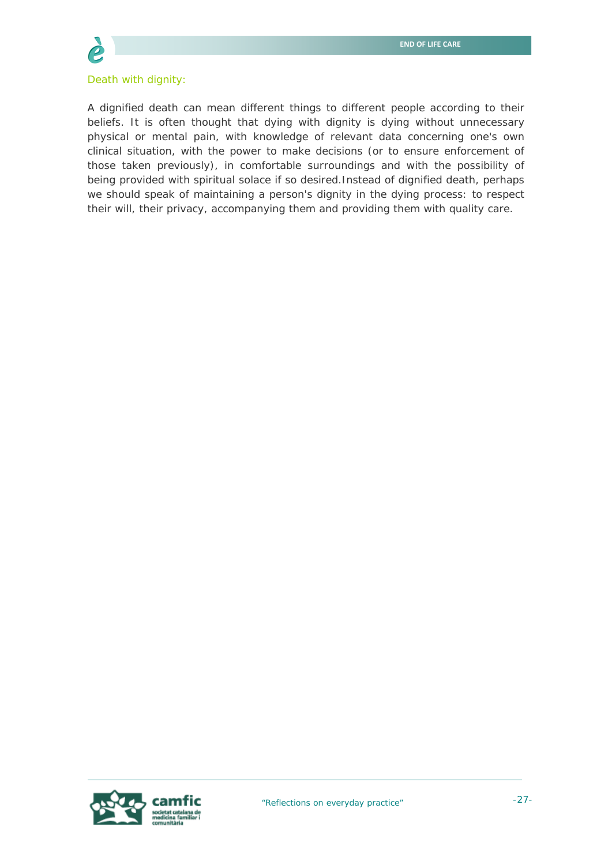### Death with dignity:

A dignified death can mean different things to different people according to their beliefs. It is often thought that dying with dignity is dying without unnecessary physical or mental pain, with knowledge of relevant data concerning one's own clinical situation, with the power to make decisions (or to ensure enforcement of those taken previously), in comfortable surroundings and with the possibility of being provided with spiritual solace if so desired.Instead of dignified death, perhaps we should speak of maintaining a person's dignity in the dying process: to respect their will, their privacy, accompanying them and providing them with quality care.

![](_page_26_Picture_4.jpeg)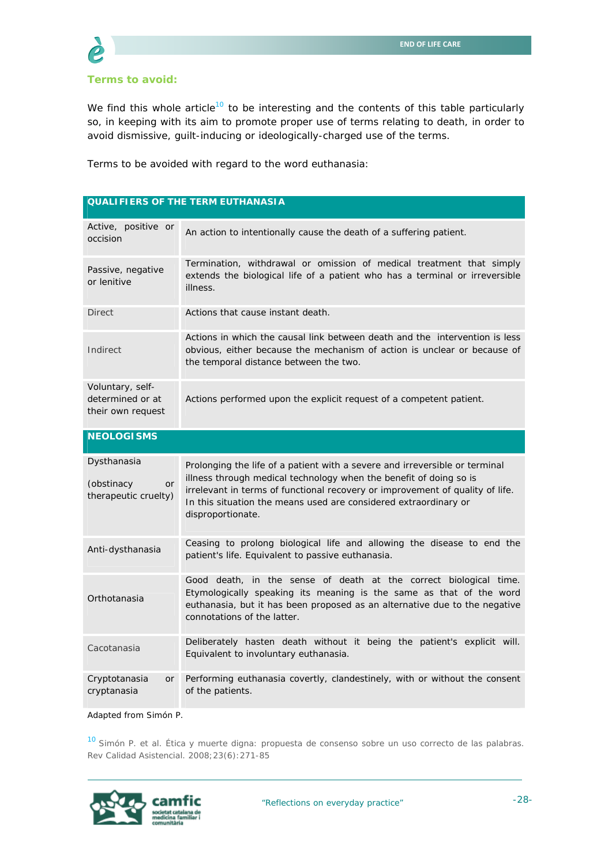## **Terms to avoid:**

We find this whole article<sup>10</sup> to be interesting and the contents of this table particularly so, in keeping with its aim to promote proper use of terms relating to death, in order to avoid dismissive, guilt-inducing or ideologically-charged use of the terms.

Terms to be avoided with regard to the word euthanasia:

| <b>QUALIFIERS OF THE TERM EUTHANASIA</b>                       |                                                                                                                                                                                                                                                                                                                             |
|----------------------------------------------------------------|-----------------------------------------------------------------------------------------------------------------------------------------------------------------------------------------------------------------------------------------------------------------------------------------------------------------------------|
| Active, positive or<br>occision                                | An action to intentionally cause the death of a suffering patient.                                                                                                                                                                                                                                                          |
| Passive, negative<br>or lenitive                               | Termination, withdrawal or omission of medical treatment that simply<br>extends the biological life of a patient who has a terminal or irreversible<br>illness.                                                                                                                                                             |
| <b>Direct</b>                                                  | Actions that cause instant death.                                                                                                                                                                                                                                                                                           |
| Indirect                                                       | Actions in which the causal link between death and the intervention is less<br>obvious, either because the mechanism of action is unclear or because of<br>the temporal distance between the two.                                                                                                                           |
| Voluntary, self-<br>determined or at<br>their own request      | Actions performed upon the explicit request of a competent patient.                                                                                                                                                                                                                                                         |
| <b>NEOLOGISMS</b>                                              |                                                                                                                                                                                                                                                                                                                             |
|                                                                |                                                                                                                                                                                                                                                                                                                             |
| Dysthanasia<br>(obstinacy<br><b>or</b><br>therapeutic cruelty) | Prolonging the life of a patient with a severe and irreversible or terminal<br>illness through medical technology when the benefit of doing so is<br>irrelevant in terms of functional recovery or improvement of quality of life.<br>In this situation the means used are considered extraordinary or<br>disproportionate. |
| Anti-dysthanasia                                               | Ceasing to prolong biological life and allowing the disease to end the<br>patient's life. Equivalent to passive euthanasia.                                                                                                                                                                                                 |
| Orthotanasia                                                   | Good death, in the sense of death at the correct biological time.<br>Etymologically speaking its meaning is the same as that of the word<br>euthanasia, but it has been proposed as an alternative due to the negative<br>connotations of the latter.                                                                       |
| Cacotanasia                                                    | Deliberately hasten death without it being the patient's explicit will.<br>Equivalent to involuntary euthanasia.                                                                                                                                                                                                            |

#### *Adapted from Simón P.*

10 Simón P. et al. Ética y muerte digna: propuesta de consenso sobre un uso correcto de las palabras. Rev Calidad Asistencial. 2008;23(6):271-85

![](_page_27_Picture_7.jpeg)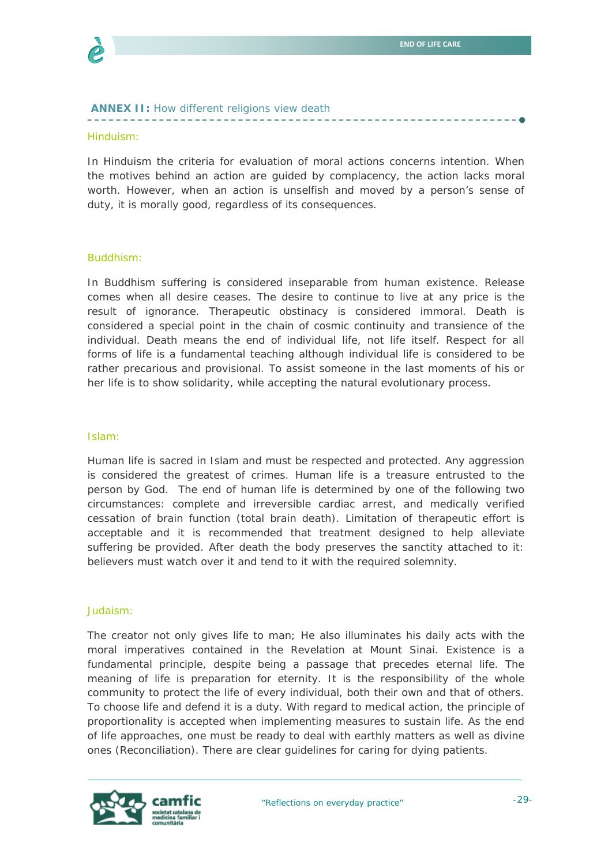![](_page_28_Picture_1.jpeg)

#### **ANNEX II:** How different religions view death

#### Hinduism:

In Hinduism the criteria for evaluation of moral actions concerns intention. When the motives behind an action are guided by complacency, the action lacks moral worth. However, when an action is unselfish and moved by a person's sense of duty, it is morally good, regardless of its consequences.

#### Buddhism:

In Buddhism suffering is considered inseparable from human existence. Release comes when all desire ceases. The desire to continue to live at any price is the result of ignorance. Therapeutic obstinacy is considered immoral. Death is considered a special point in the chain of cosmic continuity and transience of the individual. Death means the end of individual life, not life itself. Respect for all forms of life is a fundamental teaching although individual life is considered to be rather precarious and provisional. To assist someone in the last moments of his or her life is to show solidarity, while accepting the natural evolutionary process.

#### Islam:

Human life is sacred in Islam and must be respected and protected. Any aggression is considered the greatest of crimes. Human life is a treasure entrusted to the person by God. The end of human life is determined by one of the following two circumstances: complete and irreversible cardiac arrest, and medically verified cessation of brain function (total brain death). Limitation of therapeutic effort is acceptable and it is recommended that treatment designed to help alleviate suffering be provided. After death the body preserves the sanctity attached to it: believers must watch over it and tend to it with the required solemnity.

#### Judaism:

The creator not only gives life to man; He also illuminates his daily acts with the moral imperatives contained in the Revelation at Mount Sinai. Existence is a fundamental principle, despite being a passage that precedes eternal life. The meaning of life is preparation for eternity. It is the responsibility of the whole community to protect the life of every individual, both their own and that of others. To choose life and defend it is a duty. With regard to medical action, the principle of proportionality is accepted when implementing measures to sustain life. As the end of life approaches, one must be ready to deal with earthly matters as well as divine ones (Reconciliation). There are clear guidelines for caring for dying patients.

![](_page_28_Picture_11.jpeg)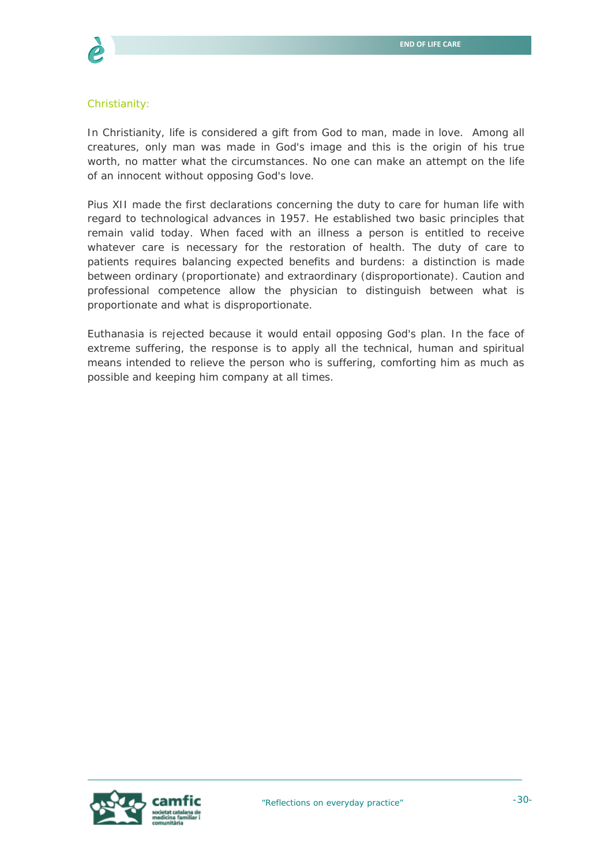![](_page_29_Picture_1.jpeg)

#### Christianity:

In Christianity, life is considered a gift from God to man, made in love. Among all creatures, only man was made in God's image and this is the origin of his true worth, no matter what the circumstances. No one can make an attempt on the life of an innocent without opposing God's love.

Pius XII made the first declarations concerning the duty to care for human life with regard to technological advances in 1957. He established two basic principles that remain valid today. When faced with an illness a person is entitled to receive whatever care is necessary for the restoration of health. The duty of care to patients requires balancing expected benefits and burdens: a distinction is made between ordinary (proportionate) and extraordinary (disproportionate). Caution and professional competence allow the physician to distinguish between what is proportionate and what is disproportionate.

Euthanasia is rejected because it would entail opposing God's plan. In the face of extreme suffering, the response is to apply all the technical, human and spiritual means intended to relieve the person who is suffering, comforting him as much as possible and keeping him company at all times.

![](_page_29_Picture_6.jpeg)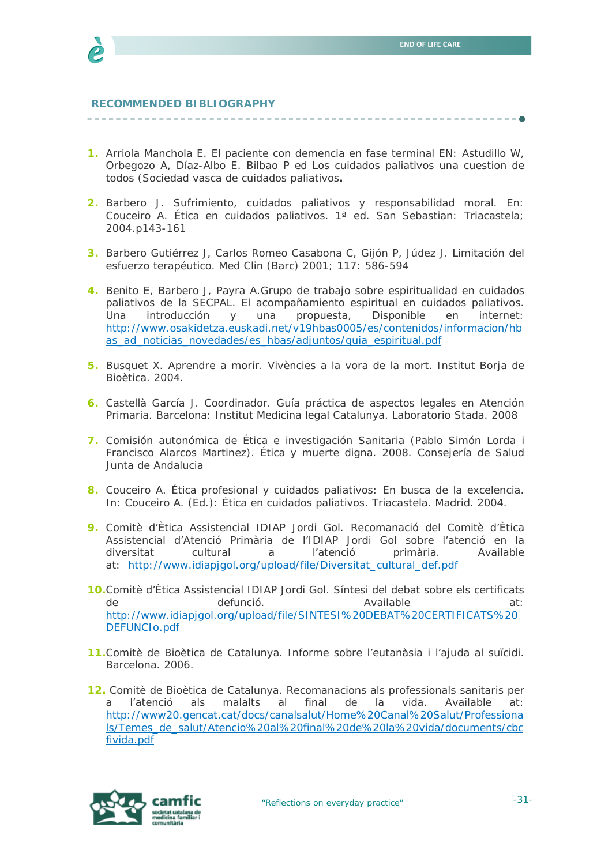![](_page_30_Picture_1.jpeg)

#### **RECOMMENDED BIBLIOGRAPHY**

- **1.** Arriola Manchola E. El paciente con demencia en fase terminal EN: Astudillo W, Orbegozo A, Díaz-Albo E. Bilbao P ed Los cuidados paliativos una cuestion de todos (Sociedad vasca de cuidados paliativos**.**
- **2.** Barbero J. Sufrimiento, cuidados paliativos y responsabilidad moral. En: Couceiro A. Ética en cuidados paliativos. 1ª ed. San Sebastian: Triacastela; 2004.p143-161
- **3.** Barbero Gutiérrez J, Carlos Romeo Casabona C, Gijón P, Júdez J. Limitación del esfuerzo terapéutico. Med Clin (Barc) 2001; 117: 586-594
- **4.** Benito E, Barbero J, Payra A.Grupo de trabajo sobre espiritualidad en cuidados paliativos de la SECPAL. El acompañamiento espiritual en cuidados paliativos. Una introducción y una propuesta, Disponible en internet: http://www.osakidetza.euskadi.net/v19hbas0005/es/contenidos/informacion/hb as\_ad\_noticias\_novedades/es\_hbas/adjuntos/guia\_espiritual.pdf
- **5.** Busquet X. Aprendre a morir. Vivències a la vora de la mort. Institut Borja de Bioètica. 2004.
- **6.** Castellà García J. Coordinador. Guía práctica de aspectos legales en Atención Primaria. Barcelona: Institut Medicina legal Catalunya. Laboratorio Stada. 2008
- **7.** Comisión autonómica de Ética e investigación Sanitaria (Pablo Simón Lorda i Francisco Alarcos Martinez). Ética y muerte digna. 2008. Consejería de Salud Junta de Andalucia
- **8.** Couceiro A. Ética profesional y cuidados paliativos: En busca de la excelencia. In: Couceiro A. (Ed.): Ética en cuidados paliativos. Triacastela. Madrid. 2004.
- **9.** Comitè d'Ètica Assistencial IDIAP Jordi Gol. Recomanació del Comitè d'Ètica Assistencial d'Atenció Primària de l'IDIAP Jordi Gol sobre l'atenció en la diversitat cultural a l'atenció primària. Available at: http://www.idiapjgol.org/upload/file/Diversitat\_cultural\_def.pdf
- **10.**Comitè d'Ètica Assistencial IDIAP Jordi Gol. Síntesi del debat sobre els certificats de defunció. Available at: http://www.idiapjgol.org/upload/file/SINTESI%20DEBAT%20CERTIFICATS%20 DEFUNCIo.pdf
- **11.**Comitè de Bioètica de Catalunya. Informe sobre l'eutanàsia i l'ajuda al suïcidi. Barcelona. 2006.
- **12.** Comitè de Bioètica de Catalunya. Recomanacions als professionals sanitaris per a l'atenció als malalts al final de la vida. Available at: http://www20.gencat.cat/docs/canalsalut/Home%20Canal%20Salut/Professiona ls/Temes\_de\_salut/Atencio%20al%20final%20de%20la%20vida/documents/cbc fivida.pdf

![](_page_30_Picture_15.jpeg)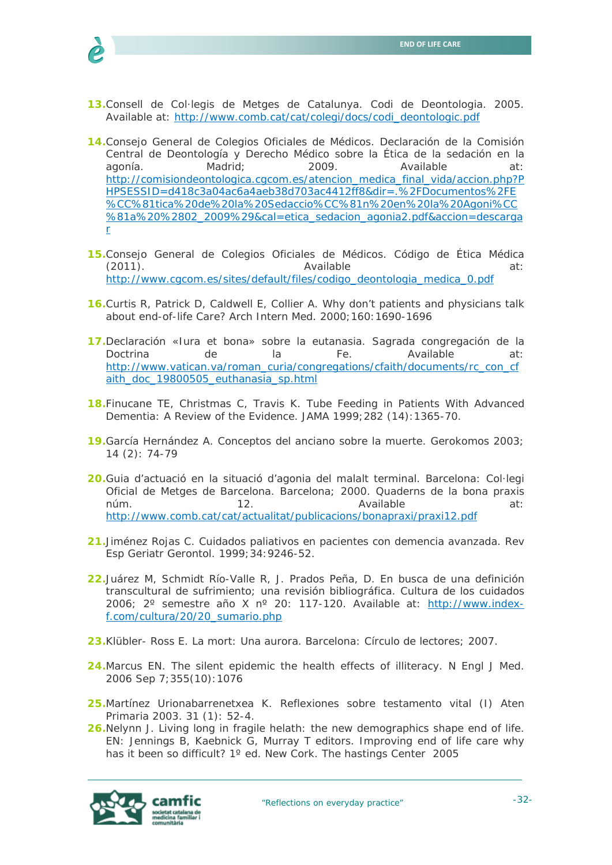![](_page_31_Picture_1.jpeg)

- **13.**Consell de Col·legis de Metges de Catalunya. Codi de Deontologia. 2005. Available at: http://www.comb.cat/cat/colegi/docs/codi\_deontologic.pdf
- **14.**Consejo General de Colegios Oficiales de Médicos. Declaración de la Comisión Central de Deontología y Derecho Médico sobre la Ética de la sedación en la agonía. Madrid; 2009. Available at: http://comisiondeontologica.cgcom.es/atencion\_medica\_final\_vida/accion.php?P HPSESSID=d418c3a04ac6a4aeb38d703ac4412ff8&dir=.%2FDocumentos%2FE %CC%81tica%20de%20la%20Sedaccio%CC%81n%20en%20la%20Agoni%CC %81a%20%2802\_2009%29&cal=etica\_sedacion\_agonia2.pdf&accion=descarga r
- **15.**Consejo General de Colegios Oficiales de Médicos. Código de Ética Médica (2011). Available at: http://www.cgcom.es/sites/default/files/codigo\_deontologia\_medica\_0.pdf
- **16.**Curtis R, Patrick D, Caldwell E, Collier A. Why don't patients and physicians talk about end-of-life Care? Arch Intern Med. 2000;160:1690-1696
- **17.**Declaración «Iura et bona» sobre la eutanasia. Sagrada congregación de la Doctrina de la Fe. Available at: http://www.vatican.va/roman\_curia/congregations/cfaith/documents/rc\_con\_cf aith\_doc\_19800505\_euthanasia\_sp.html
- **18.**Finucane TE, Christmas C, Travis K. Tube Feeding in Patients With Advanced Dementia: A Review of the Evidence. JAMA 1999;282 (14):1365-70.
- **19.**García Hernández A. Conceptos del anciano sobre la muerte. Gerokomos 2003; 14 (2): 74-79
- **20.**Guia d'actuació en la situació d'agonia del malalt terminal. Barcelona: Col·legi Oficial de Metges de Barcelona. Barcelona; 2000. Quaderns de la bona praxis núm. 12. Available at: http://www.comb.cat/cat/actualitat/publicacions/bonapraxi/praxi12.pdf
- **21.**Jiménez Rojas C. Cuidados paliativos en pacientes con demencia avanzada. Rev Esp Geriatr Gerontol. 1999;34:9246-52.
- **22.**Juárez M, Schmidt Río-Valle R, J. Prados Peña, D. En busca de una definición transcultural de sufrimiento; una revisión bibliográfica. Cultura de los cuidados 2006; 2º semestre año X nº 20: 117-120. Available at: http://www.indexf.com/cultura/20/20\_sumario.php
- **23.**Klübler- Ross E. La mort: Una aurora. Barcelona: Círculo de lectores; 2007.
- **24.**Marcus EN. The silent epidemic the health effects of illiteracy. N Engl J Med. 2006 Sep 7;355(10):1076
- **25.**Martínez Urionabarrenetxea K. Reflexiones sobre testamento vital (I) Aten Primaria 2003. 31 (1): 52-4.
- **26.**Nelynn J. Living long in fragile helath: the new demographics shape end of life. EN: Jennings B, Kaebnick G, Murray T editors. Improving end of life care why has it been so difficult? 1° ed. New Cork. The hastings Center 2005

![](_page_31_Picture_16.jpeg)